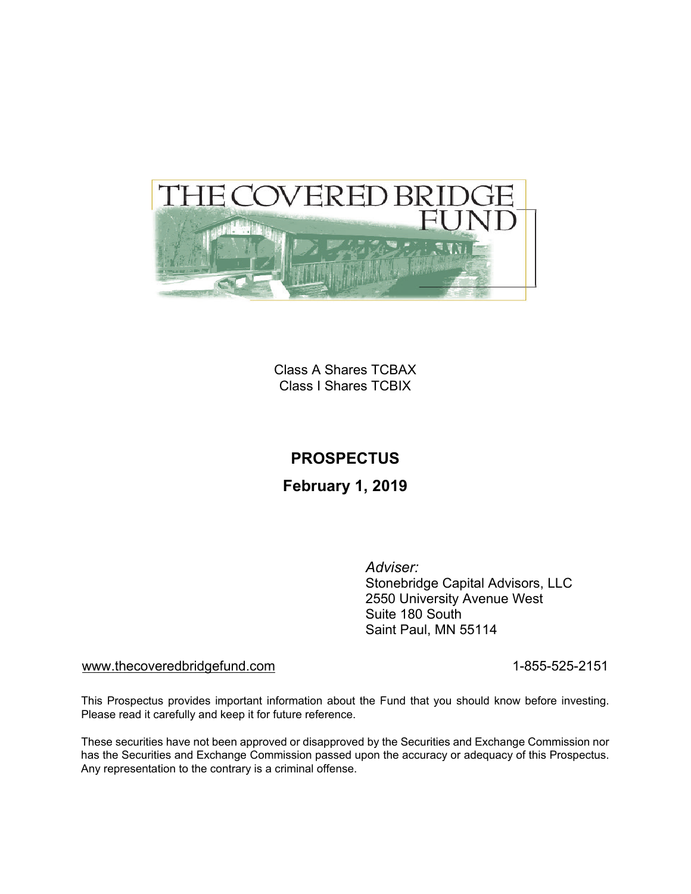

Class A Shares TCBAX Class I Shares TCBIX

### **PROSPECTUS**

### **February 1, 2019**

*Adviser:* Stonebridge Capital Advisors, LLC 2550 University Avenue West Suite 180 South Saint Paul, MN 55114

#### [www.thecoveredbridgefund.com](http://www.thecoveredbridgefund.com/) 1-855-525-2151

This Prospectus provides important information about the Fund that you should know before investing. Please read it carefully and keep it for future reference.

These securities have not been approved or disapproved by the Securities and Exchange Commission nor has the Securities and Exchange Commission passed upon the accuracy or adequacy of this Prospectus. Any representation to the contrary is a criminal offense.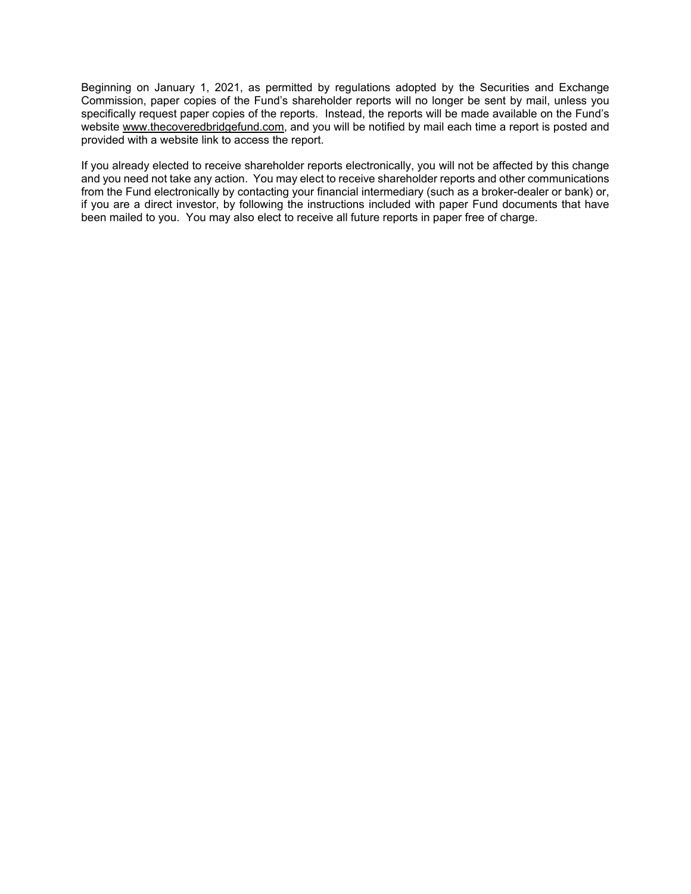Beginning on January 1, 2021, as permitted by regulations adopted by the Securities and Exchange Commission, paper copies of the Fund's shareholder reports will no longer be sent by mail, unless you specifically request paper copies of the reports. Instead, the reports will be made available on the Fund's website [www.thecoveredbridgefund.com,](http://www.thecoveredbridgefund.com/) and you will be notified by mail each time a report is posted and provided with a website link to access the report.

If you already elected to receive shareholder reports electronically, you will not be affected by this change and you need not take any action. You may elect to receive shareholder reports and other communications from the Fund electronically by contacting your financial intermediary (such as a broker-dealer or bank) or, if you are a direct investor, by following the instructions included with paper Fund documents that have been mailed to you. You may also elect to receive all future reports in paper free of charge.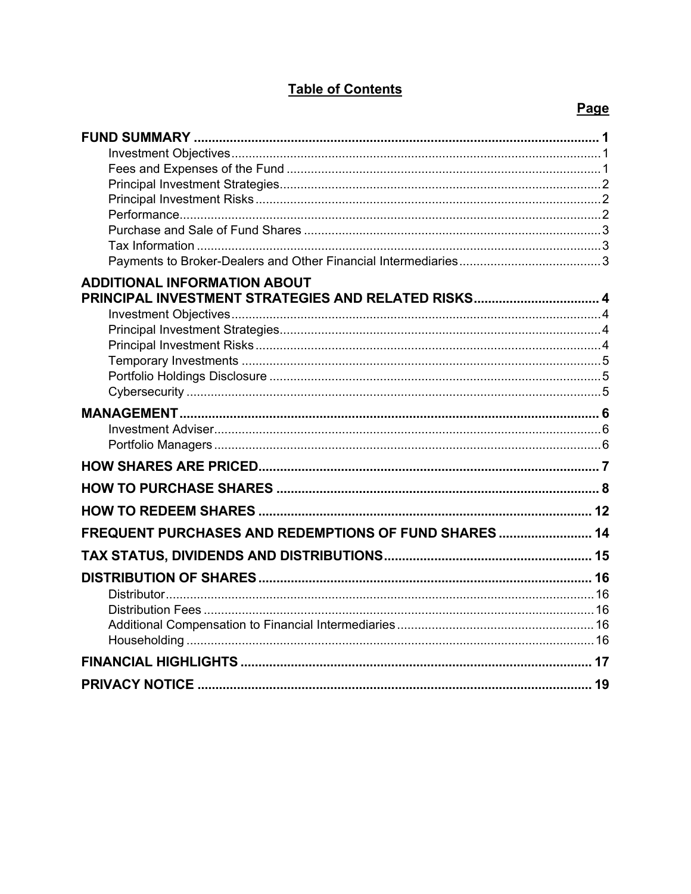### **Table of Contents**

## Page

| <b>ADDITIONAL INFORMATION ABOUT</b>                   |  |
|-------------------------------------------------------|--|
| PRINCIPAL INVESTMENT STRATEGIES AND RELATED RISKS 4   |  |
|                                                       |  |
|                                                       |  |
|                                                       |  |
|                                                       |  |
|                                                       |  |
|                                                       |  |
|                                                       |  |
|                                                       |  |
|                                                       |  |
|                                                       |  |
|                                                       |  |
|                                                       |  |
| FREQUENT PURCHASES AND REDEMPTIONS OF FUND SHARES  14 |  |
|                                                       |  |
|                                                       |  |
|                                                       |  |
|                                                       |  |
|                                                       |  |
|                                                       |  |
|                                                       |  |
|                                                       |  |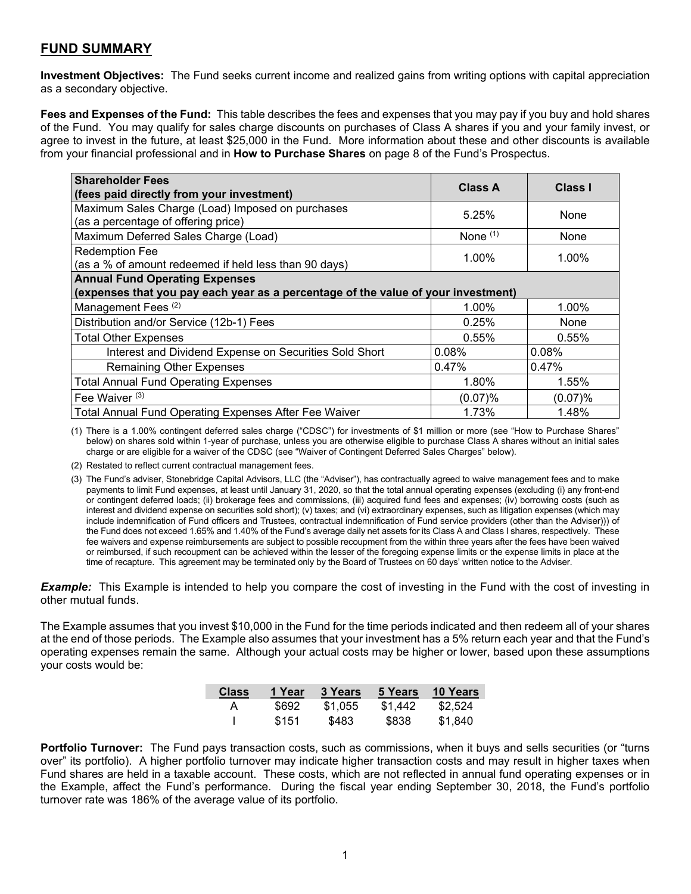### <span id="page-3-0"></span>**FUND SUMMARY**

<span id="page-3-1"></span>**Investment Objectives:** The Fund seeks current income and realized gains from writing options with capital appreciation as a secondary objective.

<span id="page-3-2"></span>**Fees and Expenses of the Fund:** This table describes the fees and expenses that you may pay if you buy and hold shares of the Fund. You may qualify for sales charge discounts on purchases of Class A shares if you and your family invest, or agree to invest in the future, at least \$25,000 in the Fund. More information about these and other discounts is available from your financial professional and in **How to Purchase Shares** on page 8 of the Fund's Prospectus.

| <b>Shareholder Fees</b><br>(fees paid directly from your investment)                    | <b>Class A</b> | <b>Class I</b> |
|-----------------------------------------------------------------------------------------|----------------|----------------|
| Maximum Sales Charge (Load) Imposed on purchases<br>(as a percentage of offering price) | 5.25%          | None           |
| Maximum Deferred Sales Charge (Load)                                                    | None $(1)$     | None           |
| <b>Redemption Fee</b><br>(as a % of amount redeemed if held less than 90 days)          | 1.00%          | 1.00%          |
| <b>Annual Fund Operating Expenses</b>                                                   |                |                |
| (expenses that you pay each year as a percentage of the value of your investment)       |                |                |
| Management Fees <sup>(2)</sup>                                                          | 1.00%          | 1.00%          |
| Distribution and/or Service (12b-1) Fees                                                | 0.25%          | None           |
| <b>Total Other Expenses</b>                                                             | 0.55%          | 0.55%          |
| Interest and Dividend Expense on Securities Sold Short                                  | 0.08%          | 0.08%          |
| <b>Remaining Other Expenses</b>                                                         | 0.47%          | 0.47%          |
| <b>Total Annual Fund Operating Expenses</b>                                             | 1.80%          | 1.55%          |
| Fee Waiver <sup>(3)</sup>                                                               | (0.07)%        | (0.07)%        |
| <b>Total Annual Fund Operating Expenses After Fee Waiver</b>                            | 1.73%          | 1.48%          |

(1) There is a 1.00% contingent deferred sales charge ("CDSC") for investments of \$1 million or more (see "How to Purchase Shares" below) on shares sold within 1-year of purchase, unless you are otherwise eligible to purchase Class A shares without an initial sales charge or are eligible for a waiver of the CDSC (see "Waiver of Contingent Deferred Sales Charges" below).

(2) Restated to reflect current contractual management fees.

(3) The Fund's adviser, Stonebridge Capital Advisors, LLC (the "Adviser"), has contractually agreed to waive management fees and to make payments to limit Fund expenses, at least until January 31, 2020, so that the total annual operating expenses (excluding (i) any front-end or contingent deferred loads; (ii) brokerage fees and commissions, (iii) acquired fund fees and expenses; (iv) borrowing costs (such as interest and dividend expense on securities sold short); (v) taxes; and (vi) extraordinary expenses, such as litigation expenses (which may include indemnification of Fund officers and Trustees, contractual indemnification of Fund service providers (other than the Adviser))) of the Fund does not exceed 1.65% and 1.40% of the Fund's average daily net assets for its Class A and Class I shares, respectively. These fee waivers and expense reimbursements are subject to possible recoupment from the within three years after the fees have been waived or reimbursed, if such recoupment can be achieved within the lesser of the foregoing expense limits or the expense limits in place at the time of recapture. This agreement may be terminated only by the Board of Trustees on 60 days' written notice to the Adviser.

*Example:* This Example is intended to help you compare the cost of investing in the Fund with the cost of investing in other mutual funds.

The Example assumes that you invest \$10,000 in the Fund for the time periods indicated and then redeem all of your shares at the end of those periods. The Example also assumes that your investment has a 5% return each year and that the Fund's operating expenses remain the same. Although your actual costs may be higher or lower, based upon these assumptions your costs would be:

| <b>Class</b> | 1 Year | 3 Years | 5 Years | <b>10 Years</b> |
|--------------|--------|---------|---------|-----------------|
| А            | \$692  | \$1.055 | \$1.442 | \$2.524         |
|              | \$151  | \$483   | \$838   | \$1.840         |

**Portfolio Turnover:** The Fund pays transaction costs, such as commissions, when it buys and sells securities (or "turns") over" its portfolio). A higher portfolio turnover may indicate higher transaction costs and may result in higher taxes when Fund shares are held in a taxable account. These costs, which are not reflected in annual fund operating expenses or in the Example, affect the Fund's performance. During the fiscal year ending September 30, 2018, the Fund's portfolio turnover rate was 186% of the average value of its portfolio.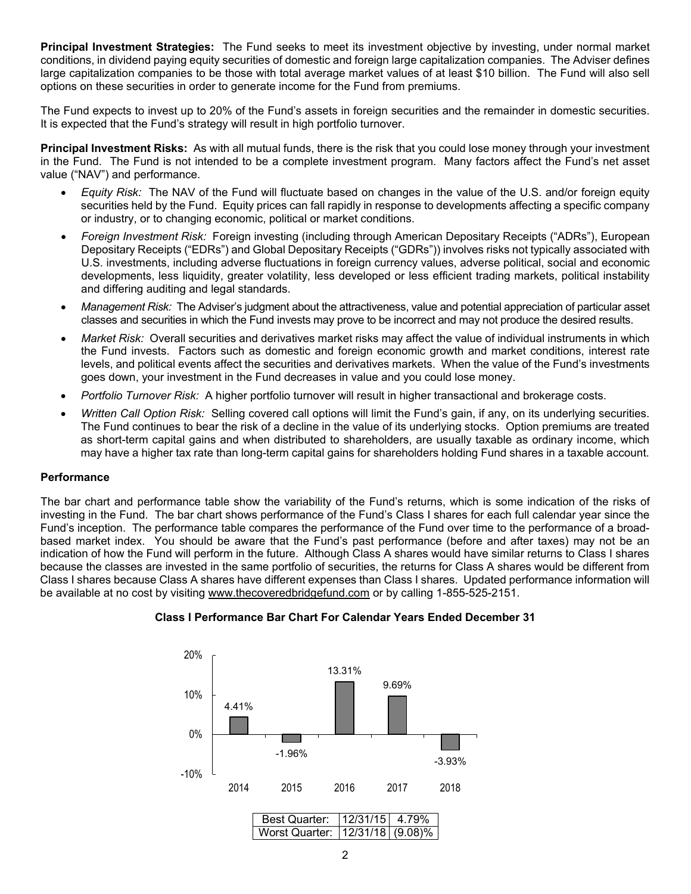<span id="page-4-0"></span>**Principal Investment Strategies:** The Fund seeks to meet its investment objective by investing, under normal market conditions, in dividend paying equity securities of domestic and foreign large capitalization companies. The Adviser defines large capitalization companies to be those with total average market values of at least \$10 billion. The Fund will also sell options on these securities in order to generate income for the Fund from premiums.

The Fund expects to invest up to 20% of the Fund's assets in foreign securities and the remainder in domestic securities. It is expected that the Fund's strategy will result in high portfolio turnover.

<span id="page-4-1"></span>**Principal Investment Risks:** As with all mutual funds, there is the risk that you could lose money through your investment in the Fund. The Fund is not intended to be a complete investment program. Many factors affect the Fund's net asset value ("NAV") and performance.

- *Equity Risk:* The NAV of the Fund will fluctuate based on changes in the value of the U.S. and/or foreign equity securities held by the Fund. Equity prices can fall rapidly in response to developments affecting a specific company or industry, or to changing economic, political or market conditions.
- *Foreign Investment Risk:* Foreign investing (including through American Depositary Receipts ("ADRs"), European Depositary Receipts ("EDRs") and Global Depositary Receipts ("GDRs")) involves risks not typically associated with U.S. investments, including adverse fluctuations in foreign currency values, adverse political, social and economic developments, less liquidity, greater volatility, less developed or less efficient trading markets, political instability and differing auditing and legal standards.
- *Management Risk:* The Adviser's judgment about the attractiveness, value and potential appreciation of particular asset classes and securities in which the Fund invests may prove to be incorrect and may not produce the desired results.
- *Market Risk:* Overall securities and derivatives market risks may affect the value of individual instruments in which the Fund invests. Factors such as domestic and foreign economic growth and market conditions, interest rate levels, and political events affect the securities and derivatives markets. When the value of the Fund's investments goes down, your investment in the Fund decreases in value and you could lose money.
- *Portfolio Turnover Risk:* A higher portfolio turnover will result in higher transactional and brokerage costs.
- *Written Call Option Risk:* Selling covered call options will limit the Fund's gain, if any, on its underlying securities. The Fund continues to bear the risk of a decline in the value of its underlying stocks. Option premiums are treated as short-term capital gains and when distributed to shareholders, are usually taxable as ordinary income, which may have a higher tax rate than long-term capital gains for shareholders holding Fund shares in a taxable account.

#### <span id="page-4-2"></span>**Performance**

The bar chart and performance table show the variability of the Fund's returns, which is some indication of the risks of investing in the Fund. The bar chart shows performance of the Fund's Class I shares for each full calendar year since the Fund's inception. The performance table compares the performance of the Fund over time to the performance of a broadbased market index. You should be aware that the Fund's past performance (before and after taxes) may not be an indication of how the Fund will perform in the future. Although Class A shares would have similar returns to Class I shares because the classes are invested in the same portfolio of securities, the returns for Class A shares would be different from Class I shares because Class A shares have different expenses than Class I shares. Updated performance information will be available at no cost by visiting [www.thecoveredbridgefund.com](http://www.thecoveredbridgefund.com/) or by calling 1-855-525-2151.



#### **Class I Performance Bar Chart For Calendar Years Ended December 31**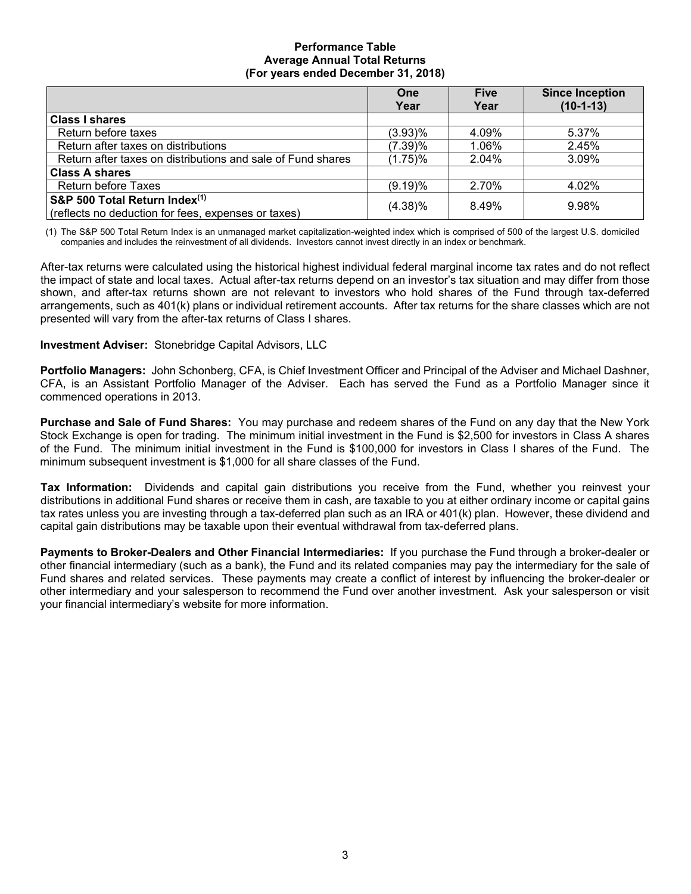#### **Performance Table Average Annual Total Returns (For years ended December 31, 2018)**

|                                                             | One        | <b>Five</b> | <b>Since Inception</b> |
|-------------------------------------------------------------|------------|-------------|------------------------|
|                                                             | Year       | Year        | $(10-1-13)$            |
| <b>Class I shares</b>                                       |            |             |                        |
| Return before taxes                                         | $(3.93)\%$ | 4.09%       | 5.37%                  |
| Return after taxes on distributions                         | (7.39)%    | 1.06%       | 2.45%                  |
| Return after taxes on distributions and sale of Fund shares | $(1.75)\%$ | 2.04%       | $3.09\%$               |
| <b>Class A shares</b>                                       |            |             |                        |
| Return before Taxes                                         | (9.19)%    | 2.70%       | 4.02%                  |
| S&P 500 Total Return Index(1)                               | $(4.38)\%$ | 8.49%       | 9.98%                  |
| (reflects no deduction for fees, expenses or taxes)         |            |             |                        |

(1) The S&P 500 Total Return Index is an unmanaged market capitalization-weighted index which is comprised of 500 of the largest U.S. domiciled companies and includes the reinvestment of all dividends. Investors cannot invest directly in an index or benchmark.

After-tax returns were calculated using the historical highest individual federal marginal income tax rates and do not reflect the impact of state and local taxes. Actual after-tax returns depend on an investor's tax situation and may differ from those shown, and after-tax returns shown are not relevant to investors who hold shares of the Fund through tax-deferred arrangements, such as 401(k) plans or individual retirement accounts. After tax returns for the share classes which are not presented will vary from the after-tax returns of Class I shares.

**Investment Adviser:** Stonebridge Capital Advisors, LLC

**Portfolio Managers:** John Schonberg, CFA, is Chief Investment Officer and Principal of the Adviser and Michael Dashner, CFA, is an Assistant Portfolio Manager of the Adviser. Each has served the Fund as a Portfolio Manager since it commenced operations in 2013.

<span id="page-5-0"></span>**Purchase and Sale of Fund Shares:** You may purchase and redeem shares of the Fund on any day that the New York Stock Exchange is open for trading. The minimum initial investment in the Fund is \$2,500 for investors in Class A shares of the Fund. The minimum initial investment in the Fund is \$100,000 for investors in Class I shares of the Fund. The minimum subsequent investment is \$1,000 for all share classes of the Fund.

<span id="page-5-1"></span>**Tax Information:** Dividends and capital gain distributions you receive from the Fund, whether you reinvest your distributions in additional Fund shares or receive them in cash, are taxable to you at either ordinary income or capital gains tax rates unless you are investing through a tax-deferred plan such as an IRA or 401(k) plan. However, these dividend and capital gain distributions may be taxable upon their eventual withdrawal from tax-deferred plans.

<span id="page-5-3"></span><span id="page-5-2"></span>**Payments to Broker-Dealers and Other Financial Intermediaries:** If you purchase the Fund through a broker-dealer or other financial intermediary (such as a bank), the Fund and its related companies may pay the intermediary for the sale of Fund shares and related services. These payments may create a conflict of interest by influencing the broker-dealer or other intermediary and your salesperson to recommend the Fund over another investment. Ask your salesperson or visit your financial intermediary's website for more information.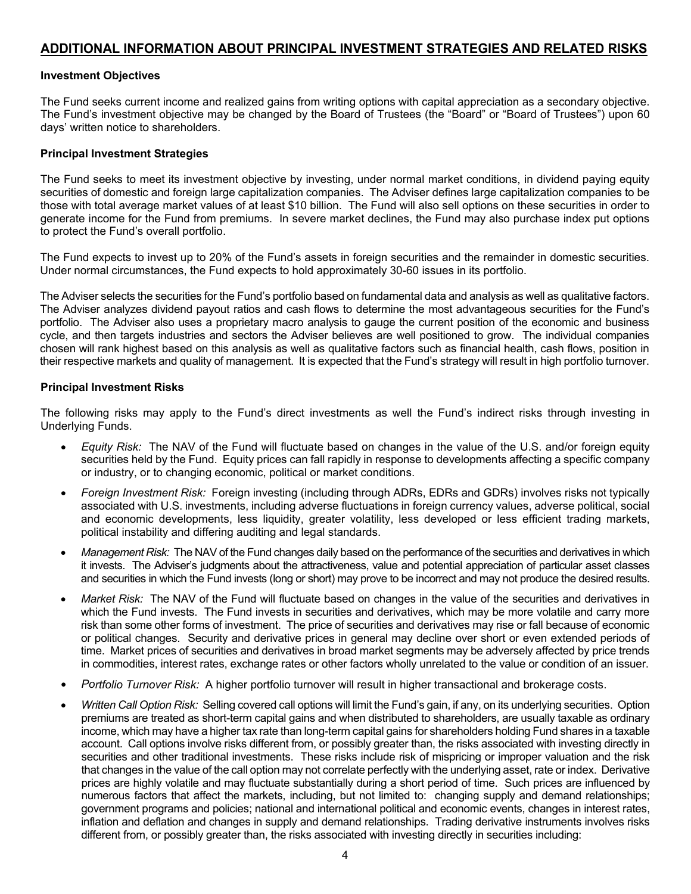### **ADDITIONAL INFORMATION ABOUT PRINCIPAL INVESTMENT STRATEGIES AND RELATED RISKS**

#### <span id="page-6-0"></span>**Investment Objectives**

The Fund seeks current income and realized gains from writing options with capital appreciation as a secondary objective. The Fund's investment objective may be changed by the Board of Trustees (the "Board" or "Board of Trustees") upon 60 days' written notice to shareholders.

#### <span id="page-6-1"></span>**Principal Investment Strategies**

The Fund seeks to meet its investment objective by investing, under normal market conditions, in dividend paying equity securities of domestic and foreign large capitalization companies. The Adviser defines large capitalization companies to be those with total average market values of at least \$10 billion. The Fund will also sell options on these securities in order to generate income for the Fund from premiums. In severe market declines, the Fund may also purchase index put options to protect the Fund's overall portfolio.

The Fund expects to invest up to 20% of the Fund's assets in foreign securities and the remainder in domestic securities. Under normal circumstances, the Fund expects to hold approximately 30-60 issues in its portfolio.

The Adviser selects the securities for the Fund's portfolio based on fundamental data and analysis as well as qualitative factors. The Adviser analyzes dividend payout ratios and cash flows to determine the most advantageous securities for the Fund's portfolio. The Adviser also uses a proprietary macro analysis to gauge the current position of the economic and business cycle, and then targets industries and sectors the Adviser believes are well positioned to grow. The individual companies chosen will rank highest based on this analysis as well as qualitative factors such as financial health, cash flows, position in their respective markets and quality of management. It is expected that the Fund's strategy will result in high portfolio turnover.

#### <span id="page-6-2"></span>**Principal Investment Risks**

The following risks may apply to the Fund's direct investments as well the Fund's indirect risks through investing in Underlying Funds.

- *Equity Risk:* The NAV of the Fund will fluctuate based on changes in the value of the U.S. and/or foreign equity securities held by the Fund. Equity prices can fall rapidly in response to developments affecting a specific company or industry, or to changing economic, political or market conditions.
- *Foreign Investment Risk:* Foreign investing (including through ADRs, EDRs and GDRs) involves risks not typically associated with U.S. investments, including adverse fluctuations in foreign currency values, adverse political, social and economic developments, less liquidity, greater volatility, less developed or less efficient trading markets, political instability and differing auditing and legal standards.
- *Management Risk:* The NAV of the Fund changes daily based on the performance of the securities and derivatives in which it invests. The Adviser's judgments about the attractiveness, value and potential appreciation of particular asset classes and securities in which the Fund invests (long or short) may prove to be incorrect and may not produce the desired results.
- *Market Risk:* The NAV of the Fund will fluctuate based on changes in the value of the securities and derivatives in which the Fund invests. The Fund invests in securities and derivatives, which may be more volatile and carry more risk than some other forms of investment. The price of securities and derivatives may rise or fall because of economic or political changes. Security and derivative prices in general may decline over short or even extended periods of time. Market prices of securities and derivatives in broad market segments may be adversely affected by price trends in commodities, interest rates, exchange rates or other factors wholly unrelated to the value or condition of an issuer.
- *Portfolio Turnover Risk:* A higher portfolio turnover will result in higher transactional and brokerage costs.
- *Written Call Option Risk:* Selling covered call options will limit the Fund's gain, if any, on its underlying securities. Option premiums are treated as short-term capital gains and when distributed to shareholders, are usually taxable as ordinary income, which may have a higher tax rate than long-term capital gains for shareholders holding Fund shares in a taxable account. Call options involve risks different from, or possibly greater than, the risks associated with investing directly in securities and other traditional investments. These risks include risk of mispricing or improper valuation and the risk that changes in the value of the call option may not correlate perfectly with the underlying asset, rate or index. Derivative prices are highly volatile and may fluctuate substantially during a short period of time. Such prices are influenced by numerous factors that affect the markets, including, but not limited to: changing supply and demand relationships; government programs and policies; national and international political and economic events, changes in interest rates, inflation and deflation and changes in supply and demand relationships. Trading derivative instruments involves risks different from, or possibly greater than, the risks associated with investing directly in securities including: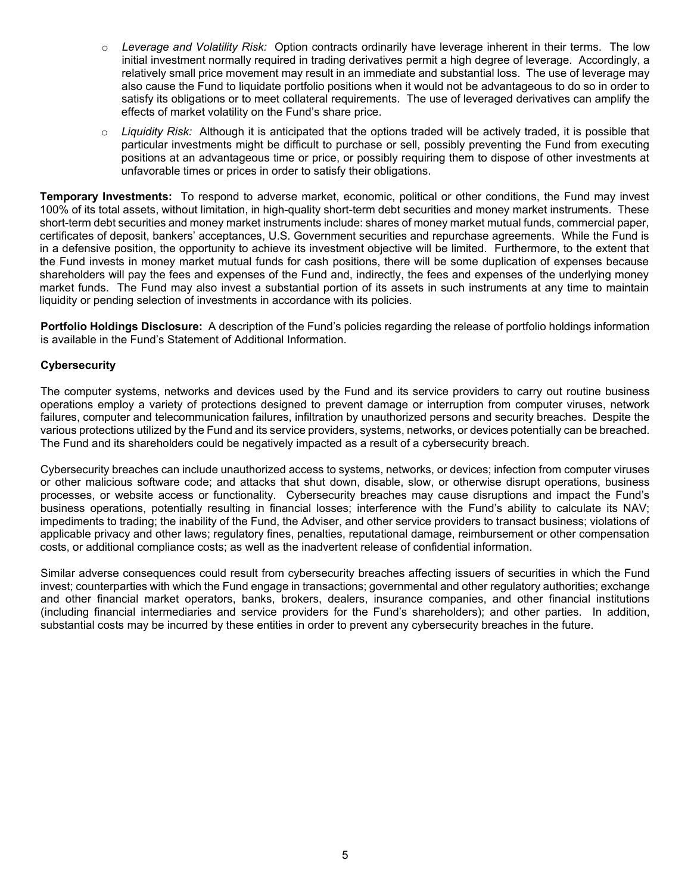- o *Leverage and Volatility Risk:* Option contracts ordinarily have leverage inherent in their terms. The low initial investment normally required in trading derivatives permit a high degree of leverage. Accordingly, a relatively small price movement may result in an immediate and substantial loss. The use of leverage may also cause the Fund to liquidate portfolio positions when it would not be advantageous to do so in order to satisfy its obligations or to meet collateral requirements. The use of leveraged derivatives can amplify the effects of market volatility on the Fund's share price.
- o *Liquidity Risk:* Although it is anticipated that the options traded will be actively traded, it is possible that particular investments might be difficult to purchase or sell, possibly preventing the Fund from executing positions at an advantageous time or price, or possibly requiring them to dispose of other investments at unfavorable times or prices in order to satisfy their obligations.

<span id="page-7-0"></span>**Temporary Investments:** To respond to adverse market, economic, political or other conditions, the Fund may invest 100% of its total assets, without limitation, in high-quality short-term debt securities and money market instruments. These short-term debt securities and money market instruments include: shares of money market mutual funds, commercial paper, certificates of deposit, bankers' acceptances, U.S. Government securities and repurchase agreements. While the Fund is in a defensive position, the opportunity to achieve its investment objective will be limited. Furthermore, to the extent that the Fund invests in money market mutual funds for cash positions, there will be some duplication of expenses because shareholders will pay the fees and expenses of the Fund and, indirectly, the fees and expenses of the underlying money market funds. The Fund may also invest a substantial portion of its assets in such instruments at any time to maintain liquidity or pending selection of investments in accordance with its policies.

<span id="page-7-1"></span>**Portfolio Holdings Disclosure:** A description of the Fund's policies regarding the release of portfolio holdings information is available in the Fund's Statement of Additional Information.

#### **Cybersecurity**

The computer systems, networks and devices used by the Fund and its service providers to carry out routine business operations employ a variety of protections designed to prevent damage or interruption from computer viruses, network failures, computer and telecommunication failures, infiltration by unauthorized persons and security breaches. Despite the various protections utilized by the Fund and its service providers, systems, networks, or devices potentially can be breached. The Fund and its shareholders could be negatively impacted as a result of a cybersecurity breach.

Cybersecurity breaches can include unauthorized access to systems, networks, or devices; infection from computer viruses or other malicious software code; and attacks that shut down, disable, slow, or otherwise disrupt operations, business processes, or website access or functionality. Cybersecurity breaches may cause disruptions and impact the Fund's business operations, potentially resulting in financial losses; interference with the Fund's ability to calculate its NAV; impediments to trading; the inability of the Fund, the Adviser, and other service providers to transact business; violations of applicable privacy and other laws; regulatory fines, penalties, reputational damage, reimbursement or other compensation costs, or additional compliance costs; as well as the inadvertent release of confidential information.

<span id="page-7-2"></span>Similar adverse consequences could result from cybersecurity breaches affecting issuers of securities in which the Fund invest; counterparties with which the Fund engage in transactions; governmental and other regulatory authorities; exchange and other financial market operators, banks, brokers, dealers, insurance companies, and other financial institutions (including financial intermediaries and service providers for the Fund's shareholders); and other parties. In addition, substantial costs may be incurred by these entities in order to prevent any cybersecurity breaches in the future.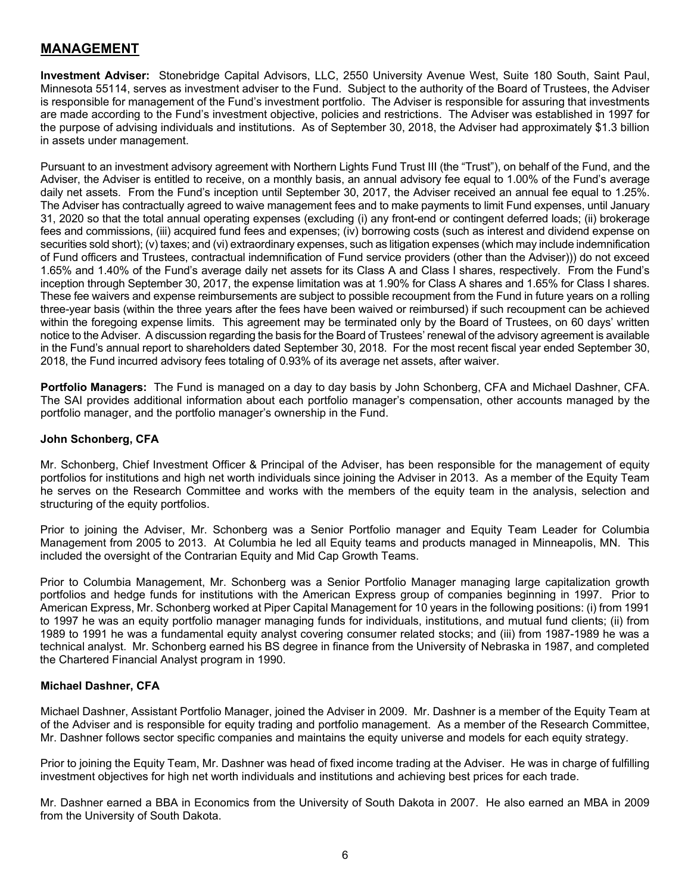### **MANAGEMENT**

<span id="page-8-0"></span>**Investment Adviser:** Stonebridge Capital Advisors, LLC, 2550 University Avenue West, Suite 180 South, Saint Paul, Minnesota 55114, serves as investment adviser to the Fund. Subject to the authority of the Board of Trustees, the Adviser is responsible for management of the Fund's investment portfolio. The Adviser is responsible for assuring that investments are made according to the Fund's investment objective, policies and restrictions. The Adviser was established in 1997 for the purpose of advising individuals and institutions. As of September 30, 2018, the Adviser had approximately \$1.3 billion in assets under management.

Pursuant to an investment advisory agreement with Northern Lights Fund Trust III (the "Trust"), on behalf of the Fund, and the Adviser, the Adviser is entitled to receive, on a monthly basis, an annual advisory fee equal to 1.00% of the Fund's average daily net assets. From the Fund's inception until September 30, 2017, the Adviser received an annual fee equal to 1.25%. The Adviser has contractually agreed to waive management fees and to make payments to limit Fund expenses, until January 31, 2020 so that the total annual operating expenses (excluding (i) any front-end or contingent deferred loads; (ii) brokerage fees and commissions, (iii) acquired fund fees and expenses; (iv) borrowing costs (such as interest and dividend expense on securities sold short); (v) taxes; and (vi) extraordinary expenses, such as litigation expenses (which may include indemnification of Fund officers and Trustees, contractual indemnification of Fund service providers (other than the Adviser))) do not exceed 1.65% and 1.40% of the Fund's average daily net assets for its Class A and Class I shares, respectively. From the Fund's inception through September 30, 2017, the expense limitation was at 1.90% for Class A shares and 1.65% for Class I shares. These fee waivers and expense reimbursements are subject to possible recoupment from the Fund in future years on a rolling three-year basis (within the three years after the fees have been waived or reimbursed) if such recoupment can be achieved within the foregoing expense limits. This agreement may be terminated only by the Board of Trustees, on 60 days' written notice to the Adviser. A discussion regarding the basis for the Board of Trustees' renewal of the advisory agreement is available in the Fund's annual report to shareholders dated September 30, 2018. For the most recent fiscal year ended September 30, 2018, the Fund incurred advisory fees totaling of 0.93% of its average net assets, after waiver.

<span id="page-8-1"></span>**Portfolio Managers:** The Fund is managed on a day to day basis by John Schonberg, CFA and Michael Dashner, CFA. The SAI provides additional information about each portfolio manager's compensation, other accounts managed by the portfolio manager, and the portfolio manager's ownership in the Fund.

#### **John Schonberg, CFA**

Mr. Schonberg, Chief Investment Officer & Principal of the Adviser, has been responsible for the management of equity portfolios for institutions and high net worth individuals since joining the Adviser in 2013. As a member of the Equity Team he serves on the Research Committee and works with the members of the equity team in the analysis, selection and structuring of the equity portfolios.

Prior to joining the Adviser, Mr. Schonberg was a Senior Portfolio manager and Equity Team Leader for Columbia Management from 2005 to 2013. At Columbia he led all Equity teams and products managed in Minneapolis, MN. This included the oversight of the Contrarian Equity and Mid Cap Growth Teams.

Prior to Columbia Management, Mr. Schonberg was a Senior Portfolio Manager managing large capitalization growth portfolios and hedge funds for institutions with the American Express group of companies beginning in 1997. Prior to American Express, Mr. Schonberg worked at Piper Capital Management for 10 years in the following positions: (i) from 1991 to 1997 he was an equity portfolio manager managing funds for individuals, institutions, and mutual fund clients; (ii) from 1989 to 1991 he was a fundamental equity analyst covering consumer related stocks; and (iii) from 1987-1989 he was a technical analyst. Mr. Schonberg earned his BS degree in finance from the University of Nebraska in 1987, and completed the Chartered Financial Analyst program in 1990.

#### **Michael Dashner, CFA**

Michael Dashner, Assistant Portfolio Manager, joined the Adviser in 2009. Mr. Dashner is a member of the Equity Team at of the Adviser and is responsible for equity trading and portfolio management. As a member of the Research Committee, Mr. Dashner follows sector specific companies and maintains the equity universe and models for each equity strategy.

Prior to joining the Equity Team, Mr. Dashner was head of fixed income trading at the Adviser. He was in charge of fulfilling investment objectives for high net worth individuals and institutions and achieving best prices for each trade.

Mr. Dashner earned a BBA in Economics from the University of South Dakota in 2007. He also earned an MBA in 2009 from the University of South Dakota.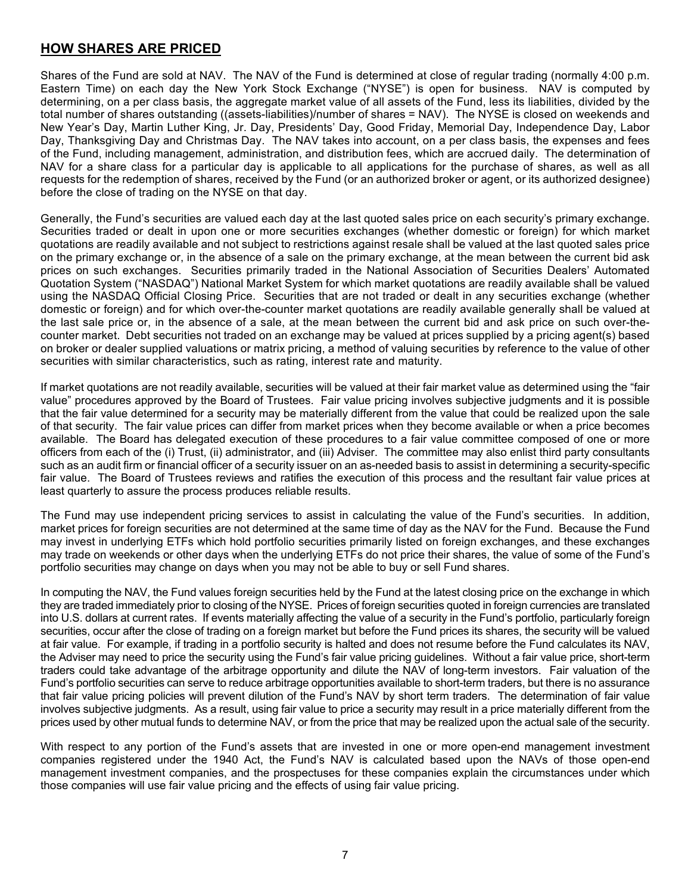### <span id="page-9-0"></span>**HOW SHARES ARE PRICED**

Shares of the Fund are sold at NAV. The NAV of the Fund is determined at close of regular trading (normally 4:00 p.m. Eastern Time) on each day the New York Stock Exchange ("NYSE") is open for business. NAV is computed by determining, on a per class basis, the aggregate market value of all assets of the Fund, less its liabilities, divided by the total number of shares outstanding ((assets-liabilities)/number of shares = NAV). The NYSE is closed on weekends and New Year's Day, Martin Luther King, Jr. Day, Presidents' Day, Good Friday, Memorial Day, Independence Day, Labor Day, Thanksgiving Day and Christmas Day. The NAV takes into account, on a per class basis, the expenses and fees of the Fund, including management, administration, and distribution fees, which are accrued daily. The determination of NAV for a share class for a particular day is applicable to all applications for the purchase of shares, as well as all requests for the redemption of shares, received by the Fund (or an authorized broker or agent, or its authorized designee) before the close of trading on the NYSE on that day.

Generally, the Fund's securities are valued each day at the last quoted sales price on each security's primary exchange. Securities traded or dealt in upon one or more securities exchanges (whether domestic or foreign) for which market quotations are readily available and not subject to restrictions against resale shall be valued at the last quoted sales price on the primary exchange or, in the absence of a sale on the primary exchange, at the mean between the current bid ask prices on such exchanges. Securities primarily traded in the National Association of Securities Dealers' Automated Quotation System ("NASDAQ") National Market System for which market quotations are readily available shall be valued using the NASDAQ Official Closing Price. Securities that are not traded or dealt in any securities exchange (whether domestic or foreign) and for which over-the-counter market quotations are readily available generally shall be valued at the last sale price or, in the absence of a sale, at the mean between the current bid and ask price on such over-thecounter market. Debt securities not traded on an exchange may be valued at prices supplied by a pricing agent(s) based on broker or dealer supplied valuations or matrix pricing, a method of valuing securities by reference to the value of other securities with similar characteristics, such as rating, interest rate and maturity.

If market quotations are not readily available, securities will be valued at their fair market value as determined using the "fair value" procedures approved by the Board of Trustees. Fair value pricing involves subjective judgments and it is possible that the fair value determined for a security may be materially different from the value that could be realized upon the sale of that security. The fair value prices can differ from market prices when they become available or when a price becomes available. The Board has delegated execution of these procedures to a fair value committee composed of one or more officers from each of the (i) Trust, (ii) administrator, and (iii) Adviser. The committee may also enlist third party consultants such as an audit firm or financial officer of a security issuer on an as-needed basis to assist in determining a security-specific fair value. The Board of Trustees reviews and ratifies the execution of this process and the resultant fair value prices at least quarterly to assure the process produces reliable results.

The Fund may use independent pricing services to assist in calculating the value of the Fund's securities. In addition, market prices for foreign securities are not determined at the same time of day as the NAV for the Fund. Because the Fund may invest in underlying ETFs which hold portfolio securities primarily listed on foreign exchanges, and these exchanges may trade on weekends or other days when the underlying ETFs do not price their shares, the value of some of the Fund's portfolio securities may change on days when you may not be able to buy or sell Fund shares.

In computing the NAV, the Fund values foreign securities held by the Fund at the latest closing price on the exchange in which they are traded immediately prior to closing of the NYSE. Prices of foreign securities quoted in foreign currencies are translated into U.S. dollars at current rates. If events materially affecting the value of a security in the Fund's portfolio, particularly foreign securities, occur after the close of trading on a foreign market but before the Fund prices its shares, the security will be valued at fair value. For example, if trading in a portfolio security is halted and does not resume before the Fund calculates its NAV, the Adviser may need to price the security using the Fund's fair value pricing guidelines. Without a fair value price, short-term traders could take advantage of the arbitrage opportunity and dilute the NAV of long-term investors. Fair valuation of the Fund's portfolio securities can serve to reduce arbitrage opportunities available to short-term traders, but there is no assurance that fair value pricing policies will prevent dilution of the Fund's NAV by short term traders. The determination of fair value involves subjective judgments. As a result, using fair value to price a security may result in a price materially different from the prices used by other mutual funds to determine NAV, or from the price that may be realized upon the actual sale of the security.

<span id="page-9-1"></span>With respect to any portion of the Fund's assets that are invested in one or more open-end management investment companies registered under the 1940 Act, the Fund's NAV is calculated based upon the NAVs of those open-end management investment companies, and the prospectuses for these companies explain the circumstances under which those companies will use fair value pricing and the effects of using fair value pricing.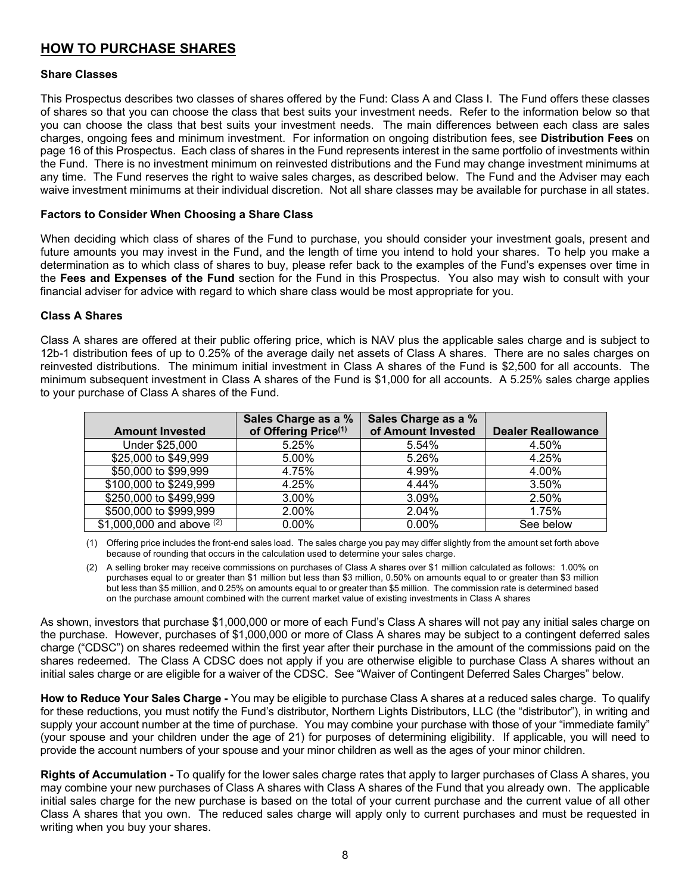### **HOW TO PURCHASE SHARES**

#### **Share Classes**

This Prospectus describes two classes of shares offered by the Fund: Class A and Class I. The Fund offers these classes of shares so that you can choose the class that best suits your investment needs. Refer to the information below so that you can choose the class that best suits your investment needs. The main differences between each class are sales charges, ongoing fees and minimum investment. For information on ongoing distribution fees, see **Distribution Fees** on page 16 of this Prospectus. Each class of shares in the Fund represents interest in the same portfolio of investments within the Fund. There is no investment minimum on reinvested distributions and the Fund may change investment minimums at any time. The Fund reserves the right to waive sales charges, as described below. The Fund and the Adviser may each waive investment minimums at their individual discretion. Not all share classes may be available for purchase in all states.

#### **Factors to Consider When Choosing a Share Class**

When deciding which class of shares of the Fund to purchase, you should consider your investment goals, present and future amounts you may invest in the Fund, and the length of time you intend to hold your shares. To help you make a determination as to which class of shares to buy, please refer back to the examples of the Fund's expenses over time in the **Fees and Expenses of the Fund** section for the Fund in this Prospectus. You also may wish to consult with your financial adviser for advice with regard to which share class would be most appropriate for you.

#### **Class A Shares**

Class A shares are offered at their public offering price, which is NAV plus the applicable sales charge and is subject to 12b-1 distribution fees of up to 0.25% of the average daily net assets of Class A shares. There are no sales charges on reinvested distributions. The minimum initial investment in Class A shares of the Fund is \$2,500 for all accounts. The minimum subsequent investment in Class A shares of the Fund is \$1,000 for all accounts. A 5.25% sales charge applies to your purchase of Class A shares of the Fund.

|                             | Sales Charge as a %              | Sales Charge as a % |                           |
|-----------------------------|----------------------------------|---------------------|---------------------------|
| <b>Amount Invested</b>      | of Offering Price <sup>(1)</sup> | of Amount Invested  | <b>Dealer Reallowance</b> |
| Under \$25,000              | 5.25%                            | 5.54%               | 4.50%                     |
| \$25,000 to \$49,999        | 5.00%                            | 5.26%               | 4.25%                     |
| \$50,000 to \$99,999        | 4.75%                            | 4.99%               | 4.00%                     |
| \$100,000 to \$249,999      | 4.25%                            | 4.44%               | 3.50%                     |
| \$250,000 to \$499,999      | 3.00%                            | 3.09%               | 2.50%                     |
| \$500,000 to \$999,999      | 2.00%                            | 2.04%               | 1.75%                     |
| \$1,000,000 and above $(2)$ | 0.00%                            | $0.00\%$            | See below                 |

(1) Offering price includes the front-end sales load. The sales charge you pay may differ slightly from the amount set forth above because of rounding that occurs in the calculation used to determine your sales charge.

(2) A selling broker may receive commissions on purchases of Class A shares over \$1 million calculated as follows: 1.00% on purchases equal to or greater than \$1 million but less than \$3 million, 0.50% on amounts equal to or greater than \$3 million but less than \$5 million, and 0.25% on amounts equal to or greater than \$5 million. The commission rate is determined based on the purchase amount combined with the current market value of existing investments in Class A shares

As shown, investors that purchase \$1,000,000 or more of each Fund's Class A shares will not pay any initial sales charge on the purchase. However, purchases of \$1,000,000 or more of Class A shares may be subject to a contingent deferred sales charge ("CDSC") on shares redeemed within the first year after their purchase in the amount of the commissions paid on the shares redeemed. The Class A CDSC does not apply if you are otherwise eligible to purchase Class A shares without an initial sales charge or are eligible for a waiver of the CDSC. See "Waiver of Contingent Deferred Sales Charges" below.

**How to Reduce Your Sales Charge -** You may be eligible to purchase Class A shares at a reduced sales charge. To qualify for these reductions, you must notify the Fund's distributor, Northern Lights Distributors, LLC (the "distributor"), in writing and supply your account number at the time of purchase. You may combine your purchase with those of your "immediate family" (your spouse and your children under the age of 21) for purposes of determining eligibility. If applicable, you will need to provide the account numbers of your spouse and your minor children as well as the ages of your minor children.

**Rights of Accumulation -** To qualify for the lower sales charge rates that apply to larger purchases of Class A shares, you may combine your new purchases of Class A shares with Class A shares of the Fund that you already own. The applicable initial sales charge for the new purchase is based on the total of your current purchase and the current value of all other Class A shares that you own. The reduced sales charge will apply only to current purchases and must be requested in writing when you buy your shares.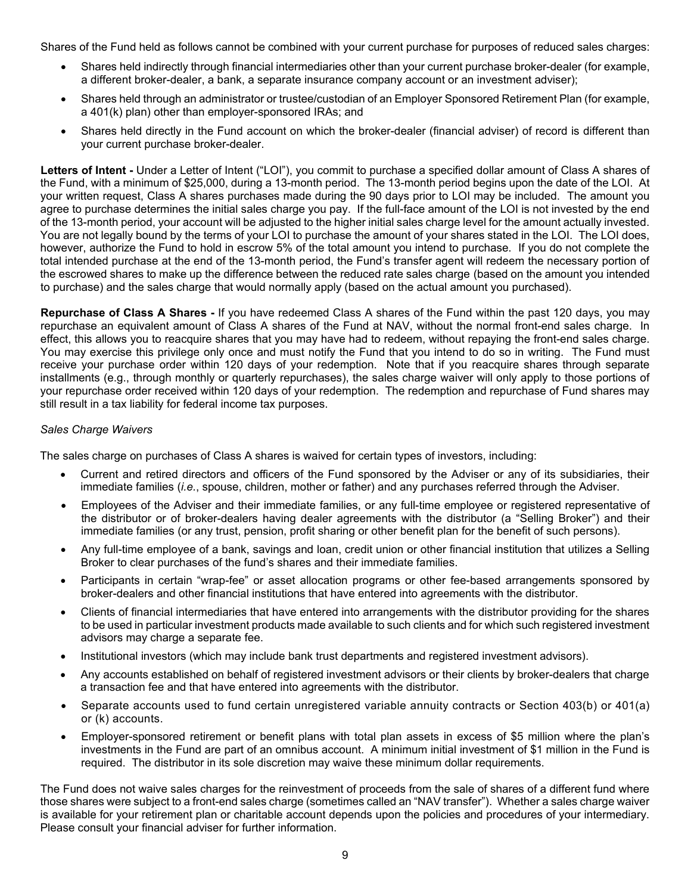Shares of the Fund held as follows cannot be combined with your current purchase for purposes of reduced sales charges:

- Shares held indirectly through financial intermediaries other than your current purchase broker-dealer (for example, a different broker-dealer, a bank, a separate insurance company account or an investment adviser);
- Shares held through an administrator or trustee/custodian of an Employer Sponsored Retirement Plan (for example, a 401(k) plan) other than employer-sponsored IRAs; and
- Shares held directly in the Fund account on which the broker-dealer (financial adviser) of record is different than your current purchase broker-dealer.

Letters of Intent - Under a Letter of Intent ("LOI"), you commit to purchase a specified dollar amount of Class A shares of the Fund, with a minimum of \$25,000, during a 13-month period. The 13-month period begins upon the date of the LOI. At your written request, Class A shares purchases made during the 90 days prior to LOI may be included. The amount you agree to purchase determines the initial sales charge you pay. If the full-face amount of the LOI is not invested by the end of the 13-month period, your account will be adjusted to the higher initial sales charge level for the amount actually invested. You are not legally bound by the terms of your LOI to purchase the amount of your shares stated in the LOI. The LOI does, however, authorize the Fund to hold in escrow 5% of the total amount you intend to purchase. If you do not complete the total intended purchase at the end of the 13-month period, the Fund's transfer agent will redeem the necessary portion of the escrowed shares to make up the difference between the reduced rate sales charge (based on the amount you intended to purchase) and the sales charge that would normally apply (based on the actual amount you purchased).

**Repurchase of Class A Shares -** If you have redeemed Class A shares of the Fund within the past 120 days, you may repurchase an equivalent amount of Class A shares of the Fund at NAV, without the normal front-end sales charge. In effect, this allows you to reacquire shares that you may have had to redeem, without repaying the front-end sales charge. You may exercise this privilege only once and must notify the Fund that you intend to do so in writing. The Fund must receive your purchase order within 120 days of your redemption. Note that if you reacquire shares through separate installments (e.g., through monthly or quarterly repurchases), the sales charge waiver will only apply to those portions of your repurchase order received within 120 days of your redemption. The redemption and repurchase of Fund shares may still result in a tax liability for federal income tax purposes.

#### *Sales Charge Waivers*

The sales charge on purchases of Class A shares is waived for certain types of investors, including:

- Current and retired directors and officers of the Fund sponsored by the Adviser or any of its subsidiaries, their immediate families (*i.e.*, spouse, children, mother or father) and any purchases referred through the Adviser.
- Employees of the Adviser and their immediate families, or any full-time employee or registered representative of the distributor or of broker-dealers having dealer agreements with the distributor (a "Selling Broker") and their immediate families (or any trust, pension, profit sharing or other benefit plan for the benefit of such persons).
- Any full-time employee of a bank, savings and loan, credit union or other financial institution that utilizes a Selling Broker to clear purchases of the fund's shares and their immediate families.
- Participants in certain "wrap-fee" or asset allocation programs or other fee-based arrangements sponsored by broker-dealers and other financial institutions that have entered into agreements with the distributor.
- Clients of financial intermediaries that have entered into arrangements with the distributor providing for the shares to be used in particular investment products made available to such clients and for which such registered investment advisors may charge a separate fee.
- Institutional investors (which may include bank trust departments and registered investment advisors).
- Any accounts established on behalf of registered investment advisors or their clients by broker-dealers that charge a transaction fee and that have entered into agreements with the distributor.
- Separate accounts used to fund certain unregistered variable annuity contracts or Section 403(b) or 401(a) or (k) accounts.
- Employer-sponsored retirement or benefit plans with total plan assets in excess of \$5 million where the plan's investments in the Fund are part of an omnibus account. A minimum initial investment of \$1 million in the Fund is required. The distributor in its sole discretion may waive these minimum dollar requirements.

The Fund does not waive sales charges for the reinvestment of proceeds from the sale of shares of a different fund where those shares were subject to a front-end sales charge (sometimes called an "NAV transfer"). Whether a sales charge waiver is available for your retirement plan or charitable account depends upon the policies and procedures of your intermediary. Please consult your financial adviser for further information.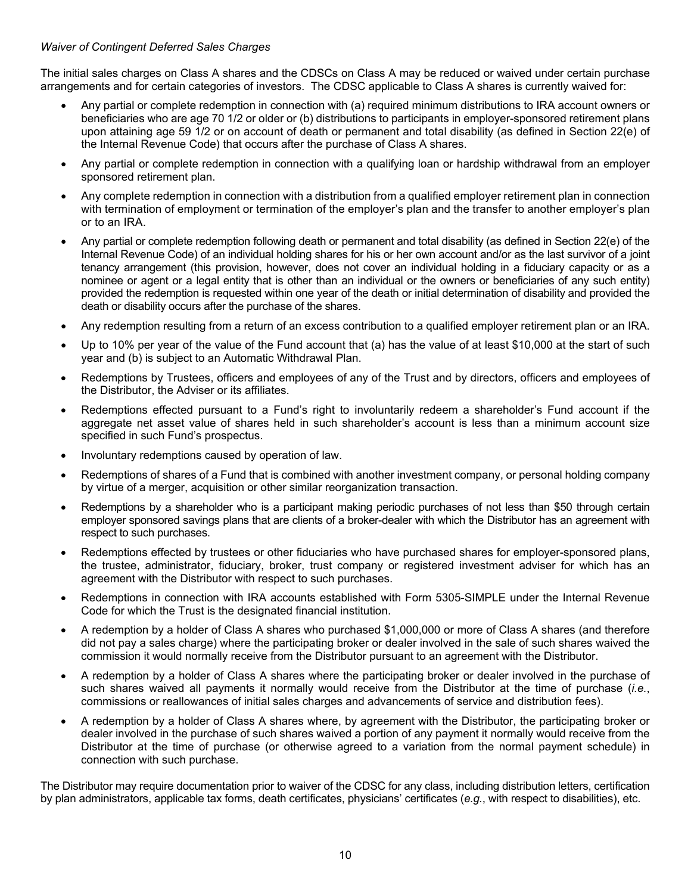#### *Waiver of Contingent Deferred Sales Charges*

The initial sales charges on Class A shares and the CDSCs on Class A may be reduced or waived under certain purchase arrangements and for certain categories of investors. The CDSC applicable to Class A shares is currently waived for:

- Any partial or complete redemption in connection with (a) required minimum distributions to IRA account owners or beneficiaries who are age 70 1/2 or older or (b) distributions to participants in employer-sponsored retirement plans upon attaining age 59 1/2 or on account of death or permanent and total disability (as defined in Section 22(e) of the Internal Revenue Code) that occurs after the purchase of Class A shares.
- Any partial or complete redemption in connection with a qualifying loan or hardship withdrawal from an employer sponsored retirement plan.
- Any complete redemption in connection with a distribution from a qualified employer retirement plan in connection with termination of employment or termination of the employer's plan and the transfer to another employer's plan or to an IRA.
- Any partial or complete redemption following death or permanent and total disability (as defined in Section 22(e) of the Internal Revenue Code) of an individual holding shares for his or her own account and/or as the last survivor of a joint tenancy arrangement (this provision, however, does not cover an individual holding in a fiduciary capacity or as a nominee or agent or a legal entity that is other than an individual or the owners or beneficiaries of any such entity) provided the redemption is requested within one year of the death or initial determination of disability and provided the death or disability occurs after the purchase of the shares.
- Any redemption resulting from a return of an excess contribution to a qualified employer retirement plan or an IRA.
- Up to 10% per year of the value of the Fund account that (a) has the value of at least \$10,000 at the start of such year and (b) is subject to an Automatic Withdrawal Plan.
- Redemptions by Trustees, officers and employees of any of the Trust and by directors, officers and employees of the Distributor, the Adviser or its affiliates.
- Redemptions effected pursuant to a Fund's right to involuntarily redeem a shareholder's Fund account if the aggregate net asset value of shares held in such shareholder's account is less than a minimum account size specified in such Fund's prospectus.
- Involuntary redemptions caused by operation of law.
- Redemptions of shares of a Fund that is combined with another investment company, or personal holding company by virtue of a merger, acquisition or other similar reorganization transaction.
- Redemptions by a shareholder who is a participant making periodic purchases of not less than \$50 through certain employer sponsored savings plans that are clients of a broker-dealer with which the Distributor has an agreement with respect to such purchases.
- Redemptions effected by trustees or other fiduciaries who have purchased shares for employer-sponsored plans, the trustee, administrator, fiduciary, broker, trust company or registered investment adviser for which has an agreement with the Distributor with respect to such purchases.
- Redemptions in connection with IRA accounts established with Form 5305-SIMPLE under the Internal Revenue Code for which the Trust is the designated financial institution.
- A redemption by a holder of Class A shares who purchased \$1,000,000 or more of Class A shares (and therefore did not pay a sales charge) where the participating broker or dealer involved in the sale of such shares waived the commission it would normally receive from the Distributor pursuant to an agreement with the Distributor.
- A redemption by a holder of Class A shares where the participating broker or dealer involved in the purchase of such shares waived all payments it normally would receive from the Distributor at the time of purchase (*i.e.*, commissions or reallowances of initial sales charges and advancements of service and distribution fees).
- A redemption by a holder of Class A shares where, by agreement with the Distributor, the participating broker or dealer involved in the purchase of such shares waived a portion of any payment it normally would receive from the Distributor at the time of purchase (or otherwise agreed to a variation from the normal payment schedule) in connection with such purchase.

The Distributor may require documentation prior to waiver of the CDSC for any class, including distribution letters, certification by plan administrators, applicable tax forms, death certificates, physicians' certificates (*e.g.*, with respect to disabilities), etc.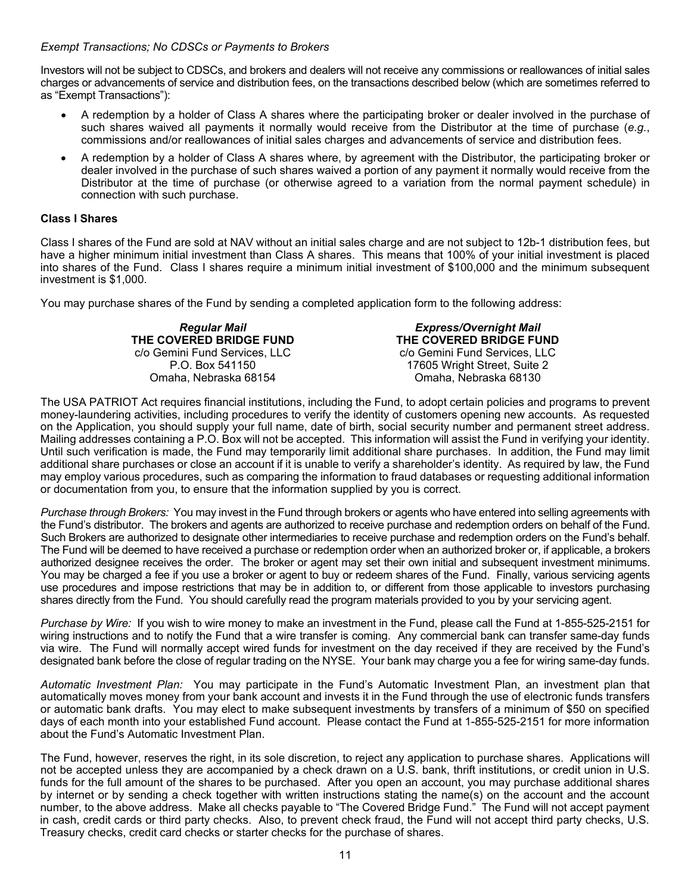#### *Exempt Transactions; No CDSCs or Payments to Brokers*

Investors will not be subject to CDSCs, and brokers and dealers will not receive any commissions or reallowances of initial sales charges or advancements of service and distribution fees, on the transactions described below (which are sometimes referred to as "Exempt Transactions"):

- A redemption by a holder of Class A shares where the participating broker or dealer involved in the purchase of such shares waived all payments it normally would receive from the Distributor at the time of purchase (*e.g.*, commissions and/or reallowances of initial sales charges and advancements of service and distribution fees.
- A redemption by a holder of Class A shares where, by agreement with the Distributor, the participating broker or dealer involved in the purchase of such shares waived a portion of any payment it normally would receive from the Distributor at the time of purchase (or otherwise agreed to a variation from the normal payment schedule) in connection with such purchase.

#### **Class I Shares**

Class I shares of the Fund are sold at NAV without an initial sales charge and are not subject to 12b-1 distribution fees, but have a higher minimum initial investment than Class A shares. This means that 100% of your initial investment is placed into shares of the Fund. Class I shares require a minimum initial investment of \$100,000 and the minimum subsequent investment is \$1,000.

You may purchase shares of the Fund by sending a completed application form to the following address:

*Regular Mail* **THE COVERED BRIDGE FUND** c/o Gemini Fund Services, LLC P.O. Box 541150 Omaha, Nebraska 68154

*Express/Overnight Mail* **THE COVERED BRIDGE FUND** c/o Gemini Fund Services, LLC 17605 Wright Street, Suite 2 Omaha, Nebraska 68130

The USA PATRIOT Act requires financial institutions, including the Fund, to adopt certain policies and programs to prevent money-laundering activities, including procedures to verify the identity of customers opening new accounts. As requested on the Application, you should supply your full name, date of birth, social security number and permanent street address. Mailing addresses containing a P.O. Box will not be accepted. This information will assist the Fund in verifying your identity. Until such verification is made, the Fund may temporarily limit additional share purchases. In addition, the Fund may limit additional share purchases or close an account if it is unable to verify a shareholder's identity. As required by law, the Fund may employ various procedures, such as comparing the information to fraud databases or requesting additional information or documentation from you, to ensure that the information supplied by you is correct.

*Purchase through Brokers:* You may invest in the Fund through brokers or agents who have entered into selling agreements with the Fund's distributor. The brokers and agents are authorized to receive purchase and redemption orders on behalf of the Fund. Such Brokers are authorized to designate other intermediaries to receive purchase and redemption orders on the Fund's behalf. The Fund will be deemed to have received a purchase or redemption order when an authorized broker or, if applicable, a brokers authorized designee receives the order. The broker or agent may set their own initial and subsequent investment minimums. You may be charged a fee if you use a broker or agent to buy or redeem shares of the Fund. Finally, various servicing agents use procedures and impose restrictions that may be in addition to, or different from those applicable to investors purchasing shares directly from the Fund. You should carefully read the program materials provided to you by your servicing agent.

*Purchase by Wire:* If you wish to wire money to make an investment in the Fund, please call the Fund at 1-855-525-2151 for wiring instructions and to notify the Fund that a wire transfer is coming. Any commercial bank can transfer same-day funds via wire. The Fund will normally accept wired funds for investment on the day received if they are received by the Fund's designated bank before the close of regular trading on the NYSE. Your bank may charge you a fee for wiring same-day funds.

*Automatic Investment Plan:* You may participate in the Fund's Automatic Investment Plan, an investment plan that automatically moves money from your bank account and invests it in the Fund through the use of electronic funds transfers or automatic bank drafts. You may elect to make subsequent investments by transfers of a minimum of \$50 on specified days of each month into your established Fund account. Please contact the Fund at 1-855-525-2151 for more information about the Fund's Automatic Investment Plan.

The Fund, however, reserves the right, in its sole discretion, to reject any application to purchase shares. Applications will not be accepted unless they are accompanied by a check drawn on a U.S. bank, thrift institutions, or credit union in U.S. funds for the full amount of the shares to be purchased. After you open an account, you may purchase additional shares by internet or by sending a check together with written instructions stating the name(s) on the account and the account number, to the above address. Make all checks payable to "The Covered Bridge Fund." The Fund will not accept payment in cash, credit cards or third party checks. Also, to prevent check fraud, the Fund will not accept third party checks, U.S. Treasury checks, credit card checks or starter checks for the purchase of shares.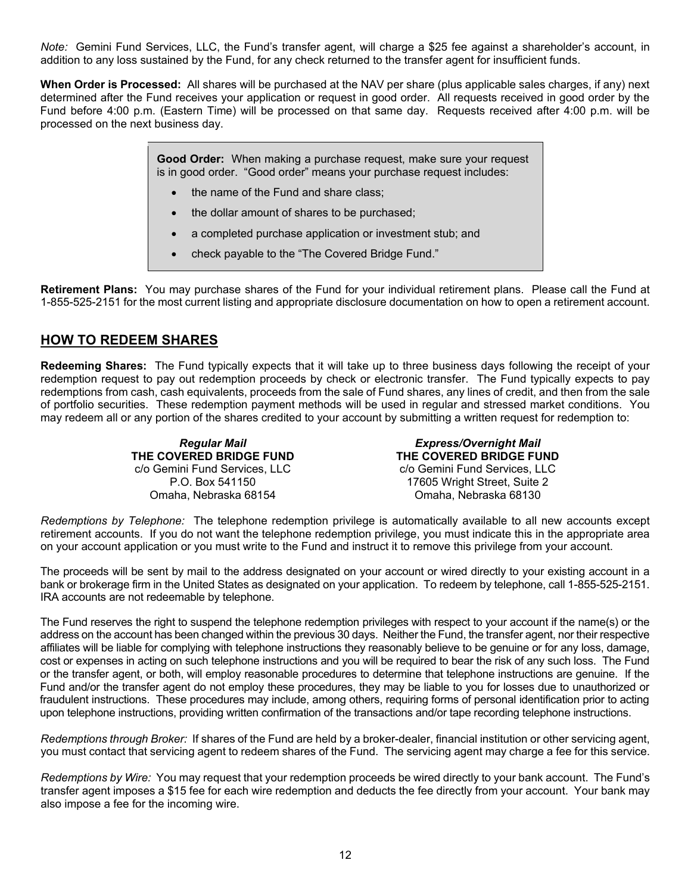*Note:* Gemini Fund Services, LLC, the Fund's transfer agent, will charge a \$25 fee against a shareholder's account, in addition to any loss sustained by the Fund, for any check returned to the transfer agent for insufficient funds.

**When Order is Processed:** All shares will be purchased at the NAV per share (plus applicable sales charges, if any) next determined after the Fund receives your application or request in good order. All requests received in good order by the Fund before 4:00 p.m. (Eastern Time) will be processed on that same day. Requests received after 4:00 p.m. will be processed on the next business day.

> **Good Order:** When making a purchase request, make sure your request is in good order. "Good order" means your purchase request includes:

- the name of the Fund and share class;
- the dollar amount of shares to be purchased;
- a completed purchase application or investment stub; and
- check payable to the "The Covered Bridge Fund."

**Retirement Plans:** You may purchase shares of the Fund for your individual retirement plans. Please call the Fund at 1-855-525-2151 for the most current listing and appropriate disclosure documentation on how to open a retirement account.

### <span id="page-14-0"></span>**HOW TO REDEEM SHARES**

**Redeeming Shares:** The Fund typically expects that it will take up to three business days following the receipt of your redemption request to pay out redemption proceeds by check or electronic transfer. The Fund typically expects to pay redemptions from cash, cash equivalents, proceeds from the sale of Fund shares, any lines of credit, and then from the sale of portfolio securities. These redemption payment methods will be used in regular and stressed market conditions. You may redeem all or any portion of the shares credited to your account by submitting a written request for redemption to:

> *Regular Mail* **THE COVERED BRIDGE FUND** c/o Gemini Fund Services, LLC P.O. Box 541150 Omaha, Nebraska 68154

*Express/Overnight Mail* **THE COVERED BRIDGE FUND** c/o Gemini Fund Services, LLC 17605 Wright Street, Suite 2 Omaha, Nebraska 68130

*Redemptions by Telephone:* The telephone redemption privilege is automatically available to all new accounts except retirement accounts. If you do not want the telephone redemption privilege, you must indicate this in the appropriate area on your account application or you must write to the Fund and instruct it to remove this privilege from your account.

The proceeds will be sent by mail to the address designated on your account or wired directly to your existing account in a bank or brokerage firm in the United States as designated on your application. To redeem by telephone, call 1-855-525-2151. IRA accounts are not redeemable by telephone.

The Fund reserves the right to suspend the telephone redemption privileges with respect to your account if the name(s) or the address on the account has been changed within the previous 30 days. Neither the Fund, the transfer agent, nor their respective affiliates will be liable for complying with telephone instructions they reasonably believe to be genuine or for any loss, damage, cost or expenses in acting on such telephone instructions and you will be required to bear the risk of any such loss. The Fund or the transfer agent, or both, will employ reasonable procedures to determine that telephone instructions are genuine. If the Fund and/or the transfer agent do not employ these procedures, they may be liable to you for losses due to unauthorized or fraudulent instructions. These procedures may include, among others, requiring forms of personal identification prior to acting upon telephone instructions, providing written confirmation of the transactions and/or tape recording telephone instructions.

*Redemptions through Broker:* If shares of the Fund are held by a broker-dealer, financial institution or other servicing agent, you must contact that servicing agent to redeem shares of the Fund. The servicing agent may charge a fee for this service.

*Redemptions by Wire:* You may request that your redemption proceeds be wired directly to your bank account. The Fund's transfer agent imposes a \$15 fee for each wire redemption and deducts the fee directly from your account. Your bank may also impose a fee for the incoming wire.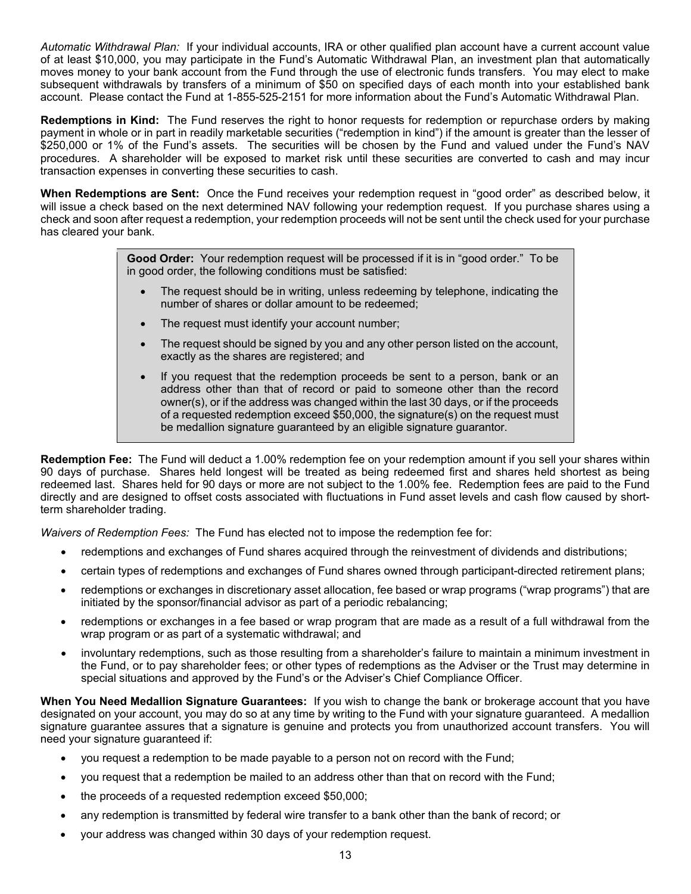*Automatic Withdrawal Plan:* If your individual accounts, IRA or other qualified plan account have a current account value of at least \$10,000, you may participate in the Fund's Automatic Withdrawal Plan, an investment plan that automatically moves money to your bank account from the Fund through the use of electronic funds transfers. You may elect to make subsequent withdrawals by transfers of a minimum of \$50 on specified days of each month into your established bank account. Please contact the Fund at 1-855-525-2151 for more information about the Fund's Automatic Withdrawal Plan.

**Redemptions in Kind:** The Fund reserves the right to honor requests for redemption or repurchase orders by making payment in whole or in part in readily marketable securities ("redemption in kind") if the amount is greater than the lesser of \$250,000 or 1% of the Fund's assets. The securities will be chosen by the Fund and valued under the Fund's NAV procedures. A shareholder will be exposed to market risk until these securities are converted to cash and may incur transaction expenses in converting these securities to cash.

**When Redemptions are Sent:** Once the Fund receives your redemption request in "good order" as described below, it will issue a check based on the next determined NAV following your redemption request. If you purchase shares using a check and soon after request a redemption, your redemption proceeds will not be sent until the check used for your purchase has cleared your bank.

> **Good Order:** Your redemption request will be processed if it is in "good order." To be in good order, the following conditions must be satisfied:

- The request should be in writing, unless redeeming by telephone, indicating the number of shares or dollar amount to be redeemed;
- The request must identify your account number;
- The request should be signed by you and any other person listed on the account, exactly as the shares are registered; and
- If you request that the redemption proceeds be sent to a person, bank or an address other than that of record or paid to someone other than the record owner(s), or if the address was changed within the last 30 days, or if the proceeds of a requested redemption exceed \$50,000, the signature(s) on the request must be medallion signature guaranteed by an eligible signature guarantor.

**Redemption Fee:** The Fund will deduct a 1.00% redemption fee on your redemption amount if you sell your shares within 90 days of purchase. Shares held longest will be treated as being redeemed first and shares held shortest as being redeemed last. Shares held for 90 days or more are not subject to the 1.00% fee. Redemption fees are paid to the Fund directly and are designed to offset costs associated with fluctuations in Fund asset levels and cash flow caused by shortterm shareholder trading.

*Waivers of Redemption Fees:* The Fund has elected not to impose the redemption fee for:

- redemptions and exchanges of Fund shares acquired through the reinvestment of dividends and distributions;
- certain types of redemptions and exchanges of Fund shares owned through participant-directed retirement plans;
- redemptions or exchanges in discretionary asset allocation, fee based or wrap programs ("wrap programs") that are initiated by the sponsor/financial advisor as part of a periodic rebalancing;
- redemptions or exchanges in a fee based or wrap program that are made as a result of a full withdrawal from the wrap program or as part of a systematic withdrawal; and
- involuntary redemptions, such as those resulting from a shareholder's failure to maintain a minimum investment in the Fund, or to pay shareholder fees; or other types of redemptions as the Adviser or the Trust may determine in special situations and approved by the Fund's or the Adviser's Chief Compliance Officer.

**When You Need Medallion Signature Guarantees:** If you wish to change the bank or brokerage account that you have designated on your account, you may do so at any time by writing to the Fund with your signature guaranteed. A medallion signature guarantee assures that a signature is genuine and protects you from unauthorized account transfers. You will need your signature guaranteed if:

- you request a redemption to be made payable to a person not on record with the Fund;
- you request that a redemption be mailed to an address other than that on record with the Fund;
- the proceeds of a requested redemption exceed \$50,000;
- any redemption is transmitted by federal wire transfer to a bank other than the bank of record; or
- your address was changed within 30 days of your redemption request.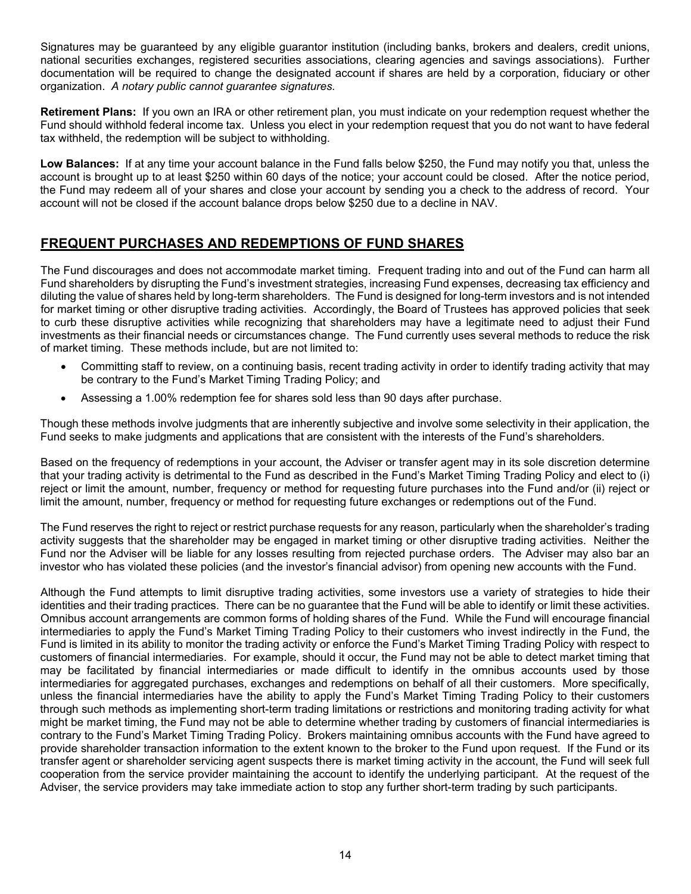Signatures may be guaranteed by any eligible guarantor institution (including banks, brokers and dealers, credit unions, national securities exchanges, registered securities associations, clearing agencies and savings associations). Further documentation will be required to change the designated account if shares are held by a corporation, fiduciary or other organization. *A notary public cannot guarantee signatures.* 

**Retirement Plans:** If you own an IRA or other retirement plan, you must indicate on your redemption request whether the Fund should withhold federal income tax. Unless you elect in your redemption request that you do not want to have federal tax withheld, the redemption will be subject to withholding.

**Low Balances:** If at any time your account balance in the Fund falls below \$250, the Fund may notify you that, unless the account is brought up to at least \$250 within 60 days of the notice; your account could be closed. After the notice period, the Fund may redeem all of your shares and close your account by sending you a check to the address of record. Your account will not be closed if the account balance drops below \$250 due to a decline in NAV.

### <span id="page-16-0"></span>**FREQUENT PURCHASES AND REDEMPTIONS OF FUND SHARES**

The Fund discourages and does not accommodate market timing. Frequent trading into and out of the Fund can harm all Fund shareholders by disrupting the Fund's investment strategies, increasing Fund expenses, decreasing tax efficiency and diluting the value of shares held by long-term shareholders. The Fund is designed for long-term investors and is not intended for market timing or other disruptive trading activities. Accordingly, the Board of Trustees has approved policies that seek to curb these disruptive activities while recognizing that shareholders may have a legitimate need to adjust their Fund investments as their financial needs or circumstances change. The Fund currently uses several methods to reduce the risk of market timing. These methods include, but are not limited to:

- Committing staff to review, on a continuing basis, recent trading activity in order to identify trading activity that may be contrary to the Fund's Market Timing Trading Policy; and
- Assessing a 1.00% redemption fee for shares sold less than 90 days after purchase.

Though these methods involve judgments that are inherently subjective and involve some selectivity in their application, the Fund seeks to make judgments and applications that are consistent with the interests of the Fund's shareholders.

Based on the frequency of redemptions in your account, the Adviser or transfer agent may in its sole discretion determine that your trading activity is detrimental to the Fund as described in the Fund's Market Timing Trading Policy and elect to (i) reject or limit the amount, number, frequency or method for requesting future purchases into the Fund and/or (ii) reject or limit the amount, number, frequency or method for requesting future exchanges or redemptions out of the Fund.

The Fund reserves the right to reject or restrict purchase requests for any reason, particularly when the shareholder's trading activity suggests that the shareholder may be engaged in market timing or other disruptive trading activities. Neither the Fund nor the Adviser will be liable for any losses resulting from rejected purchase orders. The Adviser may also bar an investor who has violated these policies (and the investor's financial advisor) from opening new accounts with the Fund.

<span id="page-16-1"></span>Although the Fund attempts to limit disruptive trading activities, some investors use a variety of strategies to hide their identities and their trading practices. There can be no guarantee that the Fund will be able to identify or limit these activities. Omnibus account arrangements are common forms of holding shares of the Fund. While the Fund will encourage financial intermediaries to apply the Fund's Market Timing Trading Policy to their customers who invest indirectly in the Fund, the Fund is limited in its ability to monitor the trading activity or enforce the Fund's Market Timing Trading Policy with respect to customers of financial intermediaries. For example, should it occur, the Fund may not be able to detect market timing that may be facilitated by financial intermediaries or made difficult to identify in the omnibus accounts used by those intermediaries for aggregated purchases, exchanges and redemptions on behalf of all their customers. More specifically, unless the financial intermediaries have the ability to apply the Fund's Market Timing Trading Policy to their customers through such methods as implementing short-term trading limitations or restrictions and monitoring trading activity for what might be market timing, the Fund may not be able to determine whether trading by customers of financial intermediaries is contrary to the Fund's Market Timing Trading Policy. Brokers maintaining omnibus accounts with the Fund have agreed to provide shareholder transaction information to the extent known to the broker to the Fund upon request. If the Fund or its transfer agent or shareholder servicing agent suspects there is market timing activity in the account, the Fund will seek full cooperation from the service provider maintaining the account to identify the underlying participant. At the request of the Adviser, the service providers may take immediate action to stop any further short-term trading by such participants.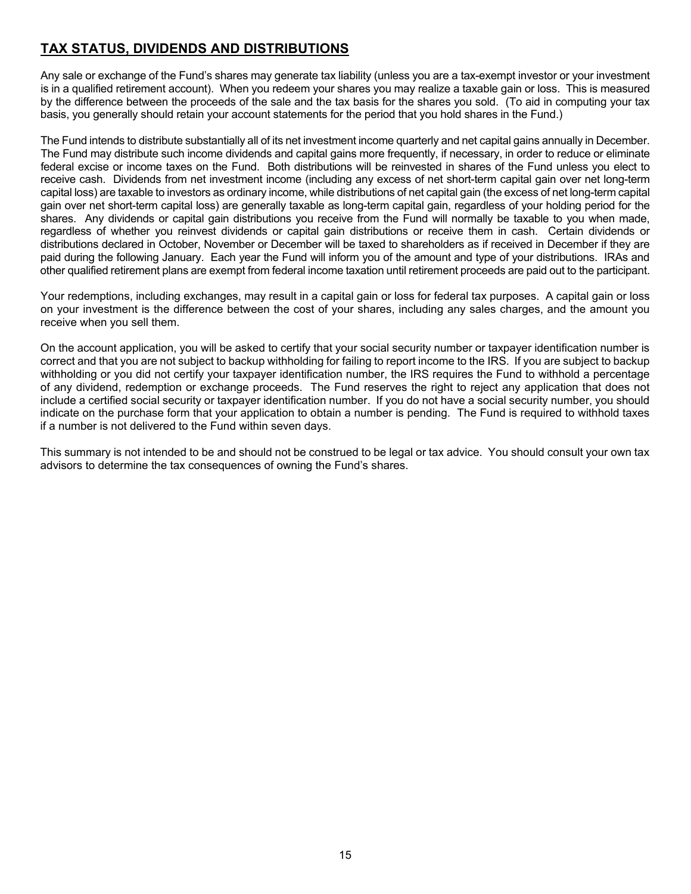### **TAX STATUS, DIVIDENDS AND DISTRIBUTIONS**

Any sale or exchange of the Fund's shares may generate tax liability (unless you are a tax-exempt investor or your investment is in a qualified retirement account). When you redeem your shares you may realize a taxable gain or loss. This is measured by the difference between the proceeds of the sale and the tax basis for the shares you sold. (To aid in computing your tax basis, you generally should retain your account statements for the period that you hold shares in the Fund.)

The Fund intends to distribute substantially all of its net investment income quarterly and net capital gains annually in December. The Fund may distribute such income dividends and capital gains more frequently, if necessary, in order to reduce or eliminate federal excise or income taxes on the Fund. Both distributions will be reinvested in shares of the Fund unless you elect to receive cash. Dividends from net investment income (including any excess of net short-term capital gain over net long-term capital loss) are taxable to investors as ordinary income, while distributions of net capital gain (the excess of net long-term capital gain over net short-term capital loss) are generally taxable as long-term capital gain, regardless of your holding period for the shares. Any dividends or capital gain distributions you receive from the Fund will normally be taxable to you when made, regardless of whether you reinvest dividends or capital gain distributions or receive them in cash. Certain dividends or distributions declared in October, November or December will be taxed to shareholders as if received in December if they are paid during the following January. Each year the Fund will inform you of the amount and type of your distributions. IRAs and other qualified retirement plans are exempt from federal income taxation until retirement proceeds are paid out to the participant.

Your redemptions, including exchanges, may result in a capital gain or loss for federal tax purposes. A capital gain or loss on your investment is the difference between the cost of your shares, including any sales charges, and the amount you receive when you sell them.

On the account application, you will be asked to certify that your social security number or taxpayer identification number is correct and that you are not subject to backup withholding for failing to report income to the IRS. If you are subject to backup withholding or you did not certify your taxpayer identification number, the IRS requires the Fund to withhold a percentage of any dividend, redemption or exchange proceeds. The Fund reserves the right to reject any application that does not include a certified social security or taxpayer identification number. If you do not have a social security number, you should indicate on the purchase form that your application to obtain a number is pending. The Fund is required to withhold taxes if a number is not delivered to the Fund within seven days.

<span id="page-17-0"></span>This summary is not intended to be and should not be construed to be legal or tax advice. You should consult your own tax advisors to determine the tax consequences of owning the Fund's shares.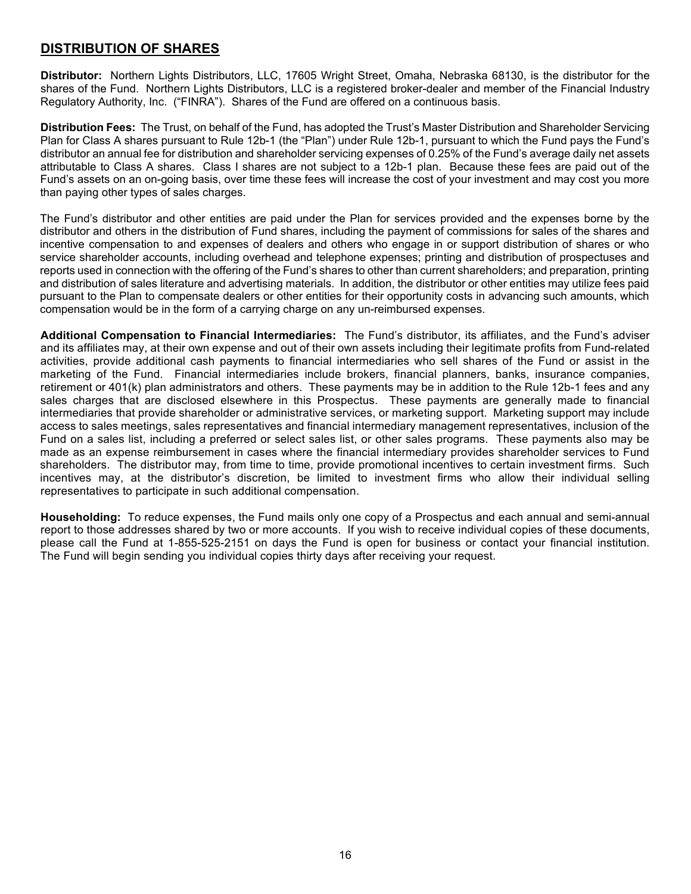### **DISTRIBUTION OF SHARES**

<span id="page-18-0"></span>**Distributor:** Northern Lights Distributors, LLC, 17605 Wright Street, Omaha, Nebraska 68130, is the distributor for the shares of the Fund. Northern Lights Distributors, LLC is a registered broker-dealer and member of the Financial Industry Regulatory Authority, Inc. ("FINRA"). Shares of the Fund are offered on a continuous basis.

<span id="page-18-1"></span>**Distribution Fees:** The Trust, on behalf of the Fund, has adopted the Trust's Master Distribution and Shareholder Servicing Plan for Class A shares pursuant to Rule 12b-1 (the "Plan") under Rule 12b-1, pursuant to which the Fund pays the Fund's distributor an annual fee for distribution and shareholder servicing expenses of 0.25% of the Fund's average daily net assets attributable to Class A shares. Class I shares are not subject to a 12b-1 plan. Because these fees are paid out of the Fund's assets on an on-going basis, over time these fees will increase the cost of your investment and may cost you more than paying other types of sales charges.

The Fund's distributor and other entities are paid under the Plan for services provided and the expenses borne by the distributor and others in the distribution of Fund shares, including the payment of commissions for sales of the shares and incentive compensation to and expenses of dealers and others who engage in or support distribution of shares or who service shareholder accounts, including overhead and telephone expenses; printing and distribution of prospectuses and reports used in connection with the offering of the Fund's shares to other than current shareholders; and preparation, printing and distribution of sales literature and advertising materials. In addition, the distributor or other entities may utilize fees paid pursuant to the Plan to compensate dealers or other entities for their opportunity costs in advancing such amounts, which compensation would be in the form of a carrying charge on any un-reimbursed expenses.

<span id="page-18-2"></span>**Additional Compensation to Financial Intermediaries:** The Fund's distributor, its affiliates, and the Fund's adviser and its affiliates may, at their own expense and out of their own assets including their legitimate profits from Fund-related activities, provide additional cash payments to financial intermediaries who sell shares of the Fund or assist in the marketing of the Fund. Financial intermediaries include brokers, financial planners, banks, insurance companies, retirement or 401(k) plan administrators and others. These payments may be in addition to the Rule 12b-1 fees and any sales charges that are disclosed elsewhere in this Prospectus. These payments are generally made to financial intermediaries that provide shareholder or administrative services, or marketing support. Marketing support may include access to sales meetings, sales representatives and financial intermediary management representatives, inclusion of the Fund on a sales list, including a preferred or select sales list, or other sales programs. These payments also may be made as an expense reimbursement in cases where the financial intermediary provides shareholder services to Fund shareholders. The distributor may, from time to time, provide promotional incentives to certain investment firms. Such incentives may, at the distributor's discretion, be limited to investment firms who allow their individual selling representatives to participate in such additional compensation.

<span id="page-18-3"></span>**Householding:** To reduce expenses, the Fund mails only one copy of a Prospectus and each annual and semi-annual report to those addresses shared by two or more accounts. If you wish to receive individual copies of these documents, please call the Fund at 1-855-525-2151 on days the Fund is open for business or contact your financial institution. The Fund will begin sending you individual copies thirty days after receiving your request.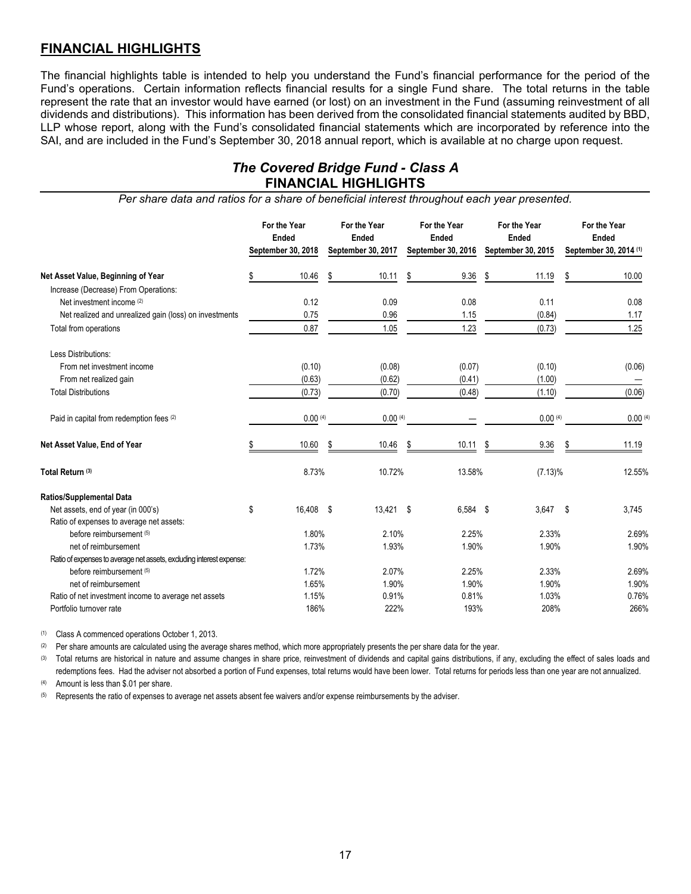### <span id="page-19-0"></span>**FINANCIAL HIGHLIGHTS**

The financial highlights table is intended to help you understand the Fund's financial performance for the period of the Fund's operations. Certain information reflects financial results for a single Fund share. The total returns in the table represent the rate that an investor would have earned (or lost) on an investment in the Fund (assuming reinvestment of all dividends and distributions). This information has been derived from the consolidated financial statements audited by BBD, LLP whose report, along with the Fund's consolidated financial statements which are incorporated by reference into the SAI, and are included in the Fund's September 30, 2018 annual report, which is available at no charge upon request.

### *The Covered Bridge Fund - Class A* **FINANCIAL HIGHLIGHTS**

*Per share data and ratios for a share of beneficial interest throughout each year presented.*

|                                                                      | For the Year<br>Ended<br>September 30, 2018 | For the Year<br><b>Ended</b><br>September 30, 2017 | For the Year<br><b>Ended</b><br>September 30, 2016 | For the Year<br><b>Ended</b><br>September 30, 2015 |    | For the Year<br>Ended<br>September 30, 2014 (1) |
|----------------------------------------------------------------------|---------------------------------------------|----------------------------------------------------|----------------------------------------------------|----------------------------------------------------|----|-------------------------------------------------|
| Net Asset Value, Beginning of Year                                   | 10.46                                       | \$<br>10.11                                        | \$<br>9.36                                         | \$<br>11.19                                        | \$ | 10.00                                           |
| Increase (Decrease) From Operations:                                 |                                             |                                                    |                                                    |                                                    |    |                                                 |
| Net investment income (2)                                            | 0.12                                        | 0.09                                               | 0.08                                               | 0.11                                               |    | 0.08                                            |
| Net realized and unrealized gain (loss) on investments               | 0.75                                        | 0.96                                               | 1.15                                               | (0.84)                                             |    | 1.17                                            |
| Total from operations                                                | 0.87                                        | 1.05                                               | 1.23                                               | (0.73)                                             |    | 1.25                                            |
| Less Distributions:                                                  |                                             |                                                    |                                                    |                                                    |    |                                                 |
| From net investment income                                           | (0.10)                                      | (0.08)                                             | (0.07)                                             | (0.10)                                             |    | (0.06)                                          |
| From net realized gain                                               | (0.63)                                      | (0.62)                                             | (0.41)                                             | (1.00)                                             |    |                                                 |
| <b>Total Distributions</b>                                           | (0.73)                                      | (0.70)                                             | (0.48)                                             | (1.10)                                             |    | (0.06)                                          |
| Paid in capital from redemption fees (2)                             | 0.00(4)                                     | 0.00(4)                                            |                                                    | 0.00(4)                                            |    | 0.00(4)                                         |
| Net Asset Value, End of Year                                         | 10.60                                       | \$<br>10.46                                        | \$<br>10.11                                        | \$<br>9.36                                         | S  | 11.19                                           |
| Total Return (3)                                                     | 8.73%                                       | 10.72%                                             | 13.58%                                             | $(7.13)\%$                                         |    | 12.55%                                          |
| Ratios/Supplemental Data                                             |                                             |                                                    |                                                    |                                                    |    |                                                 |
| Net assets, end of year (in 000's)                                   | \$<br>16,408 \$                             | 13,421 \$                                          | $6,584$ \$                                         | $3,647$ \$                                         |    | 3,745                                           |
| Ratio of expenses to average net assets:                             |                                             |                                                    |                                                    |                                                    |    |                                                 |
| before reimbursement (5)                                             | 1.80%                                       | 2.10%                                              | 2.25%                                              | 2.33%                                              |    | 2.69%                                           |
| net of reimbursement                                                 | 1.73%                                       | 1.93%                                              | 1.90%                                              | 1.90%                                              |    | 1.90%                                           |
| Ratio of expenses to average net assets, excluding interest expense: |                                             |                                                    |                                                    |                                                    |    |                                                 |
| before reimbursement (5)                                             | 1.72%                                       | 2.07%                                              | 2.25%                                              | 2.33%                                              |    | 2.69%                                           |
| net of reimbursement                                                 | 1.65%                                       | 1.90%                                              | 1.90%                                              | 1.90%                                              |    | 1.90%                                           |
| Ratio of net investment income to average net assets                 | 1.15%                                       | 0.91%                                              | 0.81%                                              | 1.03%                                              |    | 0.76%                                           |
| Portfolio turnover rate                                              | 186%                                        | 222%                                               | 193%                                               | 208%                                               |    | 266%                                            |

(1) Class A commenced operations October 1, 2013.

(2) Per share amounts are calculated using the average shares method, which more appropriately presents the per share data for the year.

(3) Total returns are historical in nature and assume changes in share price, reinvestment of dividends and capital gains distributions, if any, excluding the effect of sales loads and redemptions fees. Had the adviser not absorbed a portion of Fund expenses, total returns would have been lower. Total returns for periods less than one year are not annualized.

(4) Amount is less than \$.01 per share.

(5) Represents the ratio of expenses to average net assets absent fee waivers and/or expense reimbursements by the adviser.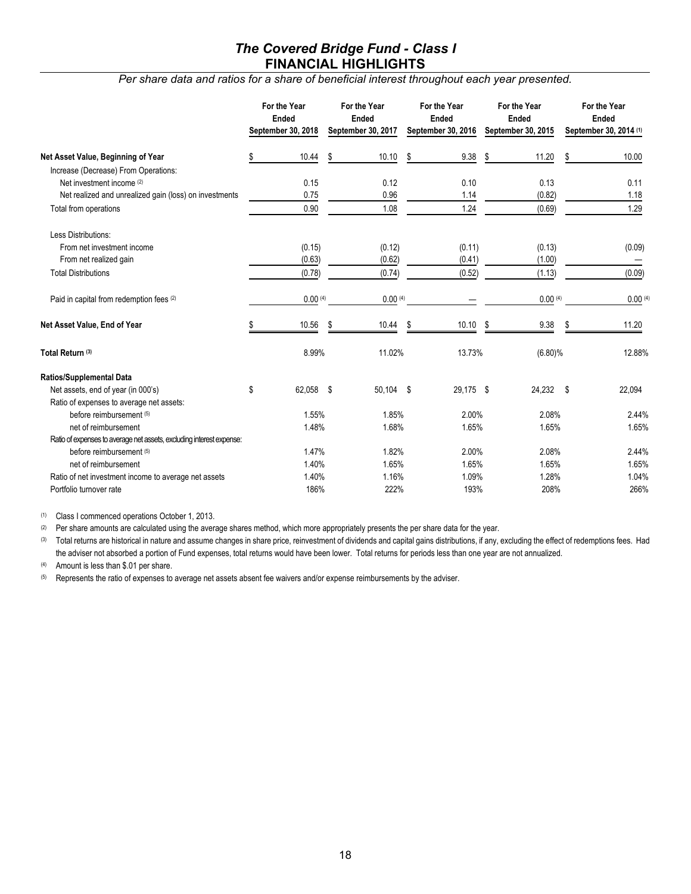### *The Covered Bridge Fund - Class I* **FINANCIAL HIGHLIGHTS**

*Per share data and ratios for a share of beneficial interest throughout each year presented.*

|                                                                      | For the Year<br><b>Ended</b><br>September 30, 2018 | For the Year<br><b>Ended</b><br>September 30, 2017 | For the Year<br><b>Ended</b><br>September 30, 2016 |    | For the Year<br><b>Ended</b><br>September 30, 2015 |    | For the Year<br><b>Ended</b><br>September 30, 2014 (1) |
|----------------------------------------------------------------------|----------------------------------------------------|----------------------------------------------------|----------------------------------------------------|----|----------------------------------------------------|----|--------------------------------------------------------|
| Net Asset Value, Beginning of Year                                   | \$<br>10.44                                        | \$<br>10.10                                        | \$<br>9.38                                         | S  | 11.20                                              | S  | 10.00                                                  |
| Increase (Decrease) From Operations:                                 |                                                    |                                                    |                                                    |    |                                                    |    |                                                        |
| Net investment income (2)                                            | 0.15                                               | 0.12                                               | 0.10                                               |    | 0.13                                               |    | 0.11                                                   |
| Net realized and unrealized gain (loss) on investments               | 0.75                                               | 0.96                                               | 1.14                                               |    | (0.82)                                             |    | 1.18                                                   |
| Total from operations                                                | 0.90                                               | 1.08                                               | 1.24                                               |    | (0.69)                                             |    | 1.29                                                   |
| Less Distributions:                                                  |                                                    |                                                    |                                                    |    |                                                    |    |                                                        |
| From net investment income                                           | (0.15)                                             | (0.12)                                             | (0.11)                                             |    | (0.13)                                             |    | (0.09)                                                 |
| From net realized gain                                               | (0.63)                                             | (0.62)                                             | (0.41)                                             |    | (1.00)                                             |    |                                                        |
| <b>Total Distributions</b>                                           | (0.78)                                             | (0.74)                                             | (0.52)                                             |    | (1.13)                                             |    | (0.09)                                                 |
| Paid in capital from redemption fees (2)                             | 0.00(4)                                            | 0.00(4)                                            |                                                    |    | 0.00(4)                                            |    | 0.00(4)                                                |
| Net Asset Value, End of Year                                         | \$<br>10.56                                        | \$<br>10.44                                        | \$<br>10.10                                        | Ŝ. | 9.38                                               | \$ | 11.20                                                  |
| Total Return (3)                                                     | 8.99%                                              | 11.02%                                             | 13.73%                                             |    | $(6.80)\%$                                         |    | 12.88%                                                 |
| <b>Ratios/Supplemental Data</b>                                      |                                                    |                                                    |                                                    |    |                                                    |    |                                                        |
| Net assets, end of year (in 000's)                                   | \$<br>62,058 \$                                    | 50,104 \$                                          | 29,175 \$                                          |    | 24,232 \$                                          |    | 22,094                                                 |
| Ratio of expenses to average net assets:                             |                                                    |                                                    |                                                    |    |                                                    |    |                                                        |
| before reimbursement (5)                                             | 1.55%                                              | 1.85%                                              | 2.00%                                              |    | 2.08%                                              |    | 2.44%                                                  |
| net of reimbursement                                                 | 1.48%                                              | 1.68%                                              | 1.65%                                              |    | 1.65%                                              |    | 1.65%                                                  |
| Ratio of expenses to average net assets, excluding interest expense: |                                                    |                                                    |                                                    |    |                                                    |    |                                                        |
| before reimbursement (5)                                             | 1.47%                                              | 1.82%                                              | 2.00%                                              |    | 2.08%                                              |    | 2.44%                                                  |
| net of reimbursement                                                 | 1.40%                                              | 1.65%                                              | 1.65%                                              |    | 1.65%                                              |    | 1.65%                                                  |
| Ratio of net investment income to average net assets                 | 1.40%                                              | 1.16%                                              | 1.09%                                              |    | 1.28%                                              |    | 1.04%                                                  |
| Portfolio turnover rate                                              | 186%                                               | 222%                                               | 193%                                               |    | 208%                                               |    | 266%                                                   |

(1) Class I commenced operations October 1, 2013.

(2) Per share amounts are calculated using the average shares method, which more appropriately presents the per share data for the year.

(3) Total returns are historical in nature and assume changes in share price, reinvestment of dividends and capital gains distributions, if any, excluding the effect of redemptions fees. Had the adviser not absorbed a portion of Fund expenses, total returns would have been lower. Total returns for periods less than one year are not annualized.

(4) Amount is less than \$.01 per share.

(5) Represents the ratio of expenses to average net assets absent fee waivers and/or expense reimbursements by the adviser.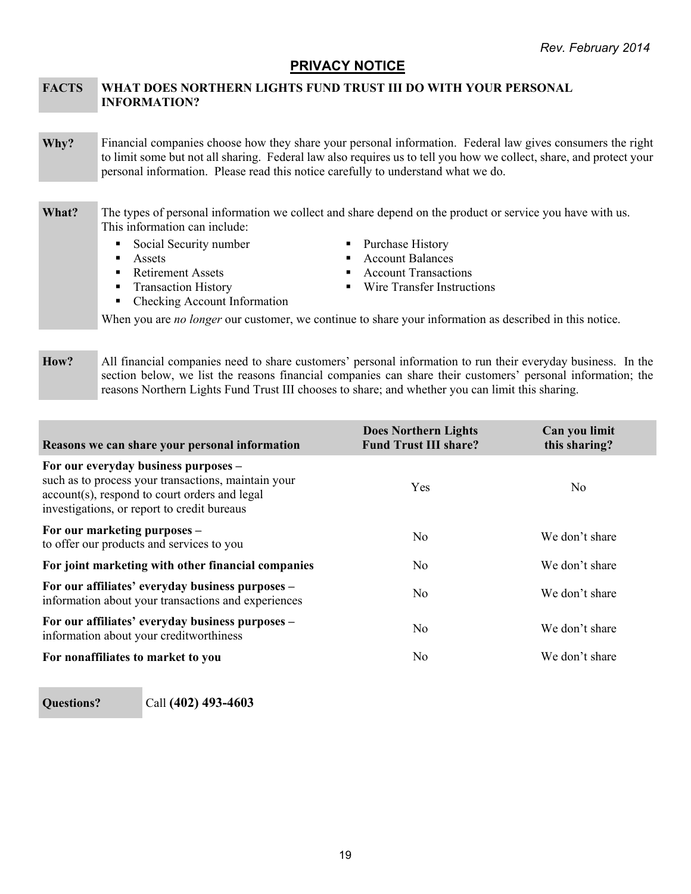### <span id="page-21-0"></span>**PRIVACY NOTICE**

#### **FACTS WHAT DOES NORTHERN LIGHTS FUND TRUST III DO WITH YOUR PERSONAL INFORMATION?**

**Why?** Financial companies choose how they share your personal information. Federal law gives consumers the right to limit some but not all sharing. Federal law also requires us to tell you how we collect, share, and protect your personal information. Please read this notice carefully to understand what we do.

### **What?** The types of personal information we collect and share depend on the product or service you have with us. This information can include:

- Social Security number Purchase History
- -
- 
- Checking Account Information
- 
- Assets Assets Account Balances
- Retirement Assets **Account Transactions** Account Transactions
- Transaction History Wire Transfer Instructions

When you are *no longer* our customer, we continue to share your information as described in this notice.

**How?** All financial companies need to share customers' personal information to run their everyday business. In the section below, we list the reasons financial companies can share their customers' personal information; the reasons Northern Lights Fund Trust III chooses to share; and whether you can limit this sharing.

| Reasons we can share your personal information                                                                                                                                              | <b>Does Northern Lights</b><br><b>Fund Trust III share?</b> | Can you limit<br>this sharing? |
|---------------------------------------------------------------------------------------------------------------------------------------------------------------------------------------------|-------------------------------------------------------------|--------------------------------|
| For our everyday business purposes -<br>such as to process your transactions, maintain your<br>account(s), respond to court orders and legal<br>investigations, or report to credit bureaus | <b>Yes</b>                                                  | No.                            |
| For our marketing purposes –<br>to offer our products and services to you                                                                                                                   | No                                                          | We don't share                 |
| For joint marketing with other financial companies                                                                                                                                          | No                                                          | We don't share                 |
| For our affiliates' everyday business purposes -<br>information about your transactions and experiences                                                                                     | No                                                          | We don't share                 |
| For our affiliates' everyday business purposes -<br>information about your creditworthiness                                                                                                 | No                                                          | We don't share                 |
| For nonaffiliates to market to you                                                                                                                                                          | No                                                          | We don't share                 |

### **Questions?** Call **(402) 493-4603**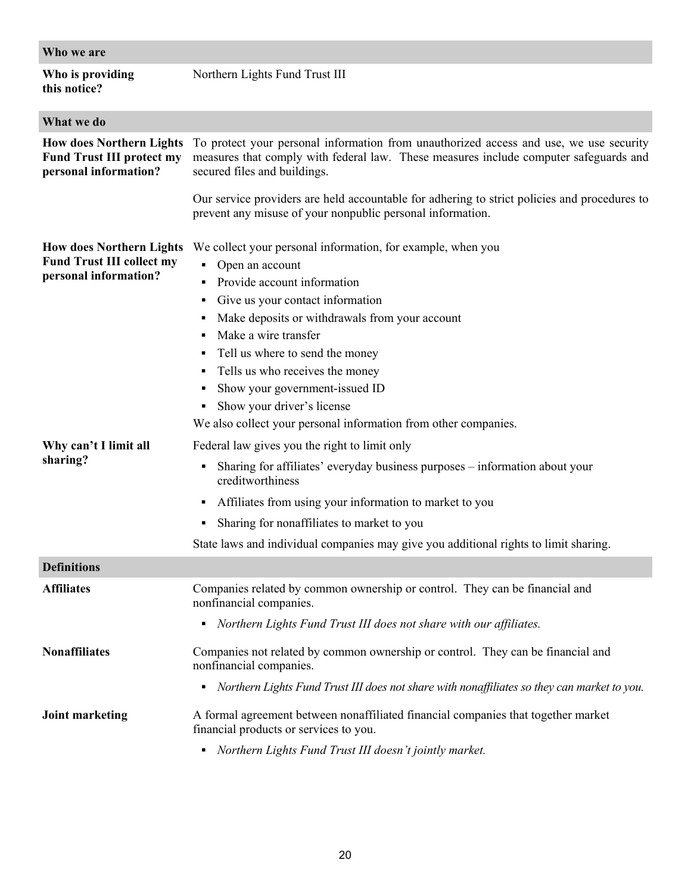| Who we are                                                                                                                        |                                                                                                                                                                                                                                                                                                                                                                                                                                                                                                                                                                                                                                                                              |
|-----------------------------------------------------------------------------------------------------------------------------------|------------------------------------------------------------------------------------------------------------------------------------------------------------------------------------------------------------------------------------------------------------------------------------------------------------------------------------------------------------------------------------------------------------------------------------------------------------------------------------------------------------------------------------------------------------------------------------------------------------------------------------------------------------------------------|
| Who is providing<br>this notice?                                                                                                  | Northern Lights Fund Trust III                                                                                                                                                                                                                                                                                                                                                                                                                                                                                                                                                                                                                                               |
| What we do                                                                                                                        |                                                                                                                                                                                                                                                                                                                                                                                                                                                                                                                                                                                                                                                                              |
| <b>How does Northern Lights</b><br><b>Fund Trust III protect my</b><br>personal information?                                      | To protect your personal information from unauthorized access and use, we use security<br>measures that comply with federal law. These measures include computer safeguards and<br>secured files and buildings.                                                                                                                                                                                                                                                                                                                                                                                                                                                              |
|                                                                                                                                   | Our service providers are held accountable for adhering to strict policies and procedures to<br>prevent any misuse of your nonpublic personal information.                                                                                                                                                                                                                                                                                                                                                                                                                                                                                                                   |
| <b>How does Northern Lights</b><br><b>Fund Trust III collect my</b><br>personal information?<br>Why can't I limit all<br>sharing? | We collect your personal information, for example, when you<br>Open an account<br>٠<br>Provide account information<br>٠<br>Give us your contact information<br>Make deposits or withdrawals from your account<br>Make a wire transfer<br>Tell us where to send the money<br>٠<br>Tells us who receives the money<br>Show your government-issued ID<br>Show your driver's license<br>٠<br>We also collect your personal information from other companies.<br>Federal law gives you the right to limit only<br>Sharing for affiliates' everyday business purposes – information about your<br>creditworthiness<br>Affiliates from using your information to market to you<br>٠ |
|                                                                                                                                   | Sharing for nonaffiliates to market to you                                                                                                                                                                                                                                                                                                                                                                                                                                                                                                                                                                                                                                   |
|                                                                                                                                   | State laws and individual companies may give you additional rights to limit sharing.                                                                                                                                                                                                                                                                                                                                                                                                                                                                                                                                                                                         |
| <b>Definitions</b>                                                                                                                |                                                                                                                                                                                                                                                                                                                                                                                                                                                                                                                                                                                                                                                                              |
| <b>Affiliates</b>                                                                                                                 | Companies related by common ownership or control. They can be financial and<br>nonfinancial companies.                                                                                                                                                                                                                                                                                                                                                                                                                                                                                                                                                                       |
|                                                                                                                                   | Northern Lights Fund Trust III does not share with our affiliates.<br>٠                                                                                                                                                                                                                                                                                                                                                                                                                                                                                                                                                                                                      |
| <b>Nonaffiliates</b>                                                                                                              | Companies not related by common ownership or control. They can be financial and<br>nonfinancial companies.                                                                                                                                                                                                                                                                                                                                                                                                                                                                                                                                                                   |
|                                                                                                                                   | Northern Lights Fund Trust III does not share with nonaffiliates so they can market to you.<br>٠                                                                                                                                                                                                                                                                                                                                                                                                                                                                                                                                                                             |
| <b>Joint marketing</b>                                                                                                            | A formal agreement between nonaffiliated financial companies that together market<br>financial products or services to you.                                                                                                                                                                                                                                                                                                                                                                                                                                                                                                                                                  |
|                                                                                                                                   | Northern Lights Fund Trust III doesn't jointly market.<br>٠                                                                                                                                                                                                                                                                                                                                                                                                                                                                                                                                                                                                                  |